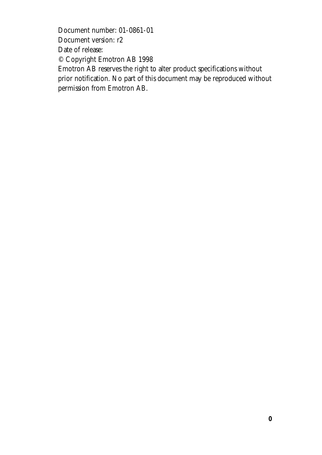Document number: 01-0861-01 Document version: r2 Date of release: © Copyright Emotron AB 1998 Emotron AB reserves the right to alter product specifications without prior notification. No part of this document may be reproduced without permission from Emotron AB.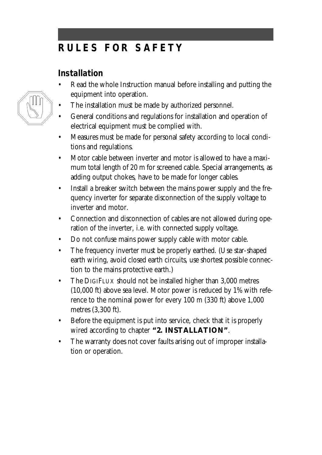# **RULES FOR SAFET Y**

### **Installation**

- Read the whole Instruction manual before installing and putting the equipment into operation.
- The installation must be made by authorized personnel.
- General conditions and regulations for installation and operation of electrical equipment must be complied with.
- Measures must be made for personal safety according to local conditions and regulations.
- Motor cable between inverter and motor is allowed to have a maximum total length of 20 m for screened cable. Special arrangements, as adding output chokes, have to be made for longer cables.
- Install a breaker switch between the mains power supply and the frequency inverter for separate disconnection of the supply voltage to inverter and motor.
- Connection and disconnection of cables are not allowed during operation of the inverter, i.e. with connected supply voltage.
- Do not confuse mains power supply cable with motor cable.
- The frequency inverter must be properly earthed. (Use star-shaped earth wiring, avoid closed earth circuits, use shortest possible connection to the mains protective earth.)
- The DIGIFLUX should not be installed higher than 3,000 metres (10,000 ft) above sea level. Motor power is reduced by 1% with reference to the nominal power for every 100 m (330 ft) above 1,000 metres (3,300 ft).
- Before the equipment is put into service, check that it is properly wired according to chapter **"2. INSTALLATION"**.
- The warranty does not cover faults arising out of improper installation or operation.

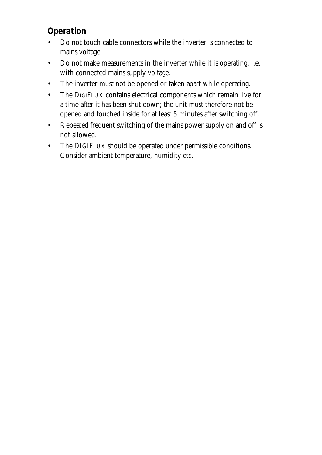## **Operation**

- Do not touch cable connectors while the inverter is connected to mains voltage.
- Do not make measurements in the inverter while it is operating, i.e. with connected mains supply voltage.
- The inverter must not be opened or taken apart while operating.
- The DIGIFLUX contains electrical components which remain live for a time after it has been shut down; the unit must therefore not be opened and touched inside for at least 5 minutes after switching off.
- Repeated frequent switching of the mains power supply on and off is not allowed.
- The DIGIFLUX should be operated under permissible conditions. Consider ambient temperature, humidity etc.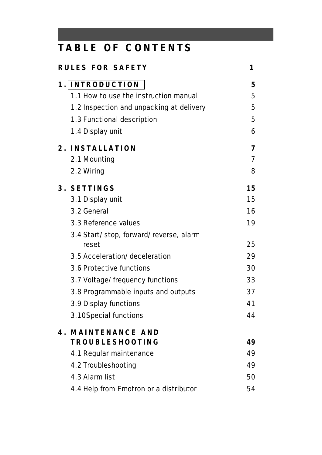# **TABLE OF CONTENT S**

| <b>RULES FOR SAFETY</b>                         | 1 |                |  |
|-------------------------------------------------|---|----------------|--|
| 1. INTRODUCTION                                 |   | 5              |  |
| 1.1 How to use the instruction manual           |   | 5              |  |
| 1.2 Inspection and unpacking at delivery        |   | 5              |  |
| 1.3 Functional description                      |   | 5              |  |
| 1.4 Display unit                                |   | 6              |  |
| 2. INSTALLATION                                 |   | 7              |  |
| 2.1 Mounting                                    |   | $\overline{7}$ |  |
| 2.2 Wiring                                      |   | 8              |  |
| 3. SETTINGS                                     |   | 15             |  |
| 3.1 Display unit                                |   | 15             |  |
| 3.2 General                                     |   | 16             |  |
| 3.3 Reference values                            |   | 19             |  |
| 3.4 Start/stop, forward/reverse, alarm<br>reset |   | 25             |  |
| 3.5 Acceleration/deceleration                   |   | 29             |  |
| 3.6 Protective functions                        |   | 30             |  |
| 3.7 Voltage/frequency functions                 |   | 33             |  |
| 3.8 Programmable inputs and outputs             |   | 37             |  |
| 3.9 Display functions                           |   | 41             |  |
| 3.10Special functions                           |   | 44             |  |
| MAINTENANCE AND<br>4.                           |   |                |  |
| <b>TROUBLESHOOTING</b>                          |   | 49             |  |
| 4.1 Regular maintenance                         |   | 49             |  |
| 4.2 Troubleshooting                             |   | 49             |  |
| 4.3 Alarm list                                  |   | 50             |  |
| 4.4 Help from Emotron or a distributor          |   | 54             |  |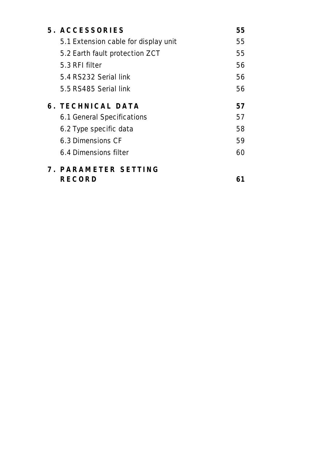| 5. ACCESSORIES                       | 55 |
|--------------------------------------|----|
| 5.1 Extension cable for display unit | 55 |
| 5.2 Earth fault protection ZCT       | 55 |
| 5.3 RFI filter                       | 56 |
| 5.4 RS232 Serial link                | 56 |
| 5.5 RS485 Serial link                | 56 |
| <b>6. TECHNICAL DATA</b>             | 57 |
| 6.1 General Specifications           | 57 |
| 6.2 Type specific data               | 58 |
| 6.3 Dimensions CF                    | 59 |
| 6.4 Dimensions filter                | 60 |
| 7. PARAMETER SETTING                 |    |
| RECORD                               |    |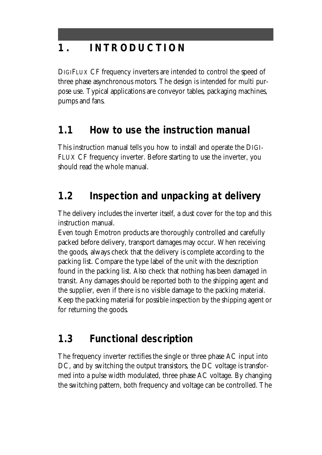# <span id="page-5-0"></span>**1 . INTRODUCTIO N**

DIGIFLUX CF frequency inverters are intended to control the speed of three phase asynchronous motors. The design is intended for multi purpose use. Typical applications are conveyor tables, packaging machines, pumps and fans.

## **1.1 How to use the instruction manual**

This instruction manual tells you how to install and operate the DIGI-FLUX CF frequency inverter. Before starting to use the inverter, you should read the whole manual.

## **1.2 Inspection and unpacking at delivery**

The delivery includes the inverter itself, a dust cover for the top and this instruction manual.

Even tough Emotron products are thoroughly controlled and carefully packed before delivery, transport damages may occur. When receiving the goods, always check that the delivery is complete according to the packing list. Compare the type label of the unit with the description found in the packing list. Also check that nothing has been damaged in transit. Any damages should be reported both to the shipping agent and the supplier, even if there is no visible damage to the packing material. Keep the packing material for possible inspection by the shipping agent or for returning the goods.

## **1.3 Functional description**

The frequency inverter rectifies the single or three phase AC input into DC, and by switching the output transistors, the DC voltage is transformed into a pulse width modulated, three phase AC voltage. By changing the switching pattern, both frequency and voltage can be controlled. The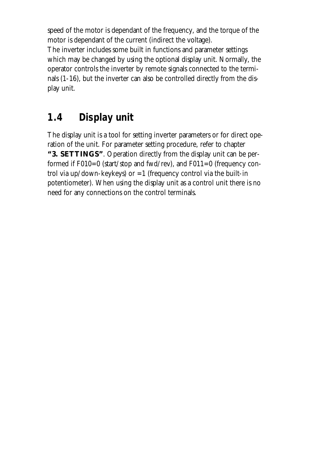speed of the motor is dependant of the frequency, and the torque of the motor is dependant of the current (indirect the voltage). The inverter includes some built in functions and parameter settings which may be changed by using the optional display unit. Normally, the operator controls the inverter by remote signals connected to the terminals (1-16), but the inverter can also be controlled directly from the display unit.

## **1.4 Display unit**

The display unit is a tool for setting inverter parameters or for direct operation of the unit. For parameter setting procedure, refer to chapter **"3. SETTINGS"**. Operation directly from the display unit can be performed if  $F010=0$  (start/stop and fwd/rev), and  $F011=0$  (frequency control via up/down-keykeys) or  $=1$  (frequency control via the built-in potentiometer). When using the display unit as a control unit there is no need for any connections on the control terminals.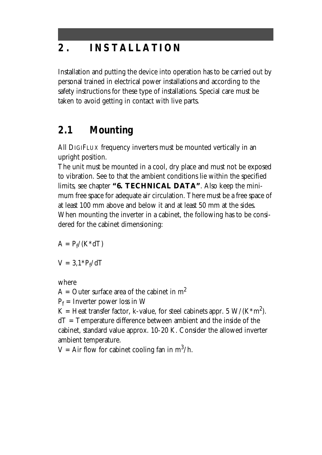# **2 . INSTALLATIO N**

Installation and putting the device into operation has to be carried out by personal trained in electrical power installations and according to the safety instructions for these type of installations. Special care must be taken to avoid getting in contact with live parts.

## **2.1 Mounting**

All DIGIFLUX frequency inverters must be mounted vertically in an upright position.

The unit must be mounted in a cool, dry place and must not be exposed to vibration. See to that the ambient conditions lie within the specified limits, see chapter **"6. TECHNICAL DATA"**. Also keep the minimum free space for adequate air circulation. There must be a free space of at least 100 mm above and below it and at least 50 mm at the sides. When mounting the inverter in a cabinet, the following has to be considered for the cabinet dimensioning:

 $A = P_f/(K^*dT)$ 

 $V = 3.1 * P_f/dT$ 

where

 $A =$  Outer surface area of the cabinet in  $m<sup>2</sup>$ 

 $P_f$  = Inverter power loss in W

K = Heat transfer factor, k-value, for steel cabinets appr. 5  $\rm W/(K^*m^2)$ .

dT = Temperature difference between ambient and the inside of the cabinet, standard value approx. 10-20 K. Consider the allowed inverter ambient temperature.

V = Air flow for cabinet cooling fan in  $m^3/h$ .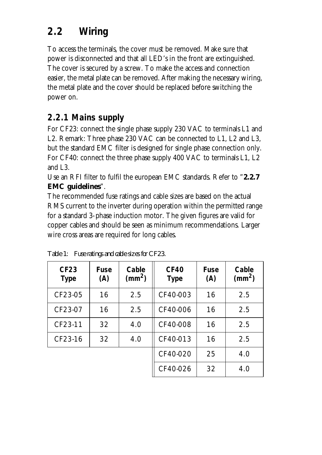# **2.2 Wiring**

To access the terminals, the cover must be removed. Make sure that power is disconnected and that all LED's in the front are extinguished. The cover is secured by a screw. To make the access and connection easier, the metal plate can be removed. After making the necessary wiring, the metal plate and the cover should be replaced before switching the power on.

### **2.2.1 Mains supply**

For CF23: connect the single phase supply 230 VAC to terminals L1 and L2. Remark: Three phase 230 VAC can be connected to L1, L2 and L3, but the standard EMC filter is designed for single phase connection only. For CF40: connect the three phase supply 400 VAC to terminals L1, L2 and L3.

Use an RFI filter to fulfil the european EMC standards. Refer to "**2.2.7 EMC guidelines**".

The recommended fuse ratings and cable sizes are based on the actual RMS current to the inverter during operation within the permitted range for a standard 3-phase induction motor. The given figures are valid for copper cables and should be seen as minimum recommendations. Larger wire cross areas are required for long cables.

| <b>CF23</b><br><b>Type</b> | <b>Fuse</b><br>(A) | Cable<br>$\text{(mm}^2)$ | <b>CF40</b><br><b>Type</b> | <b>Fuse</b><br>(A) | Cable<br>$\text{ (mm}^2\text{)}$ |
|----------------------------|--------------------|--------------------------|----------------------------|--------------------|----------------------------------|
| CF23-05                    | 16                 | 2.5                      | CF40-003                   | 16                 | 2.5                              |
| CF23-07                    | 16                 | 2.5                      | CF40-006                   | 16                 | 2.5                              |
| CF23-11                    | 32                 | 4.0                      | CF40-008                   | 16                 | 2.5                              |
| CF23-16                    | 32                 | 4.0                      | CF40-013                   | 16                 | 2.5                              |
|                            |                    |                          | CF40-020                   | 25                 | 4.0                              |
|                            |                    |                          | CF40-026                   | 32                 | 4.0                              |

*Table 1: Fuse ratings and cable sizes for CF23.*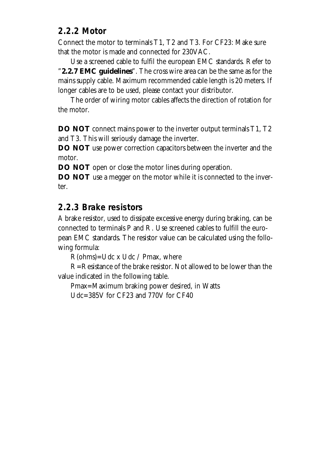#### **2.2.2 Motor**

Connect the motor to terminals T1, T2 and T3. For CF23: Make sure that the motor is made and connected for 230VAC.

Use a screened cable to fulfil the european EMC standards. Refer to "**2.2.7 EMC guidelines**". The cross wire area can be the same as for the mains supply cable. Maximum recommended cable length is 20 meters. If longer cables are to be used, please contact your distributor.

The order of wiring motor cables affects the direction of rotation for the motor.

**DO NOT** connect mains power to the inverter output terminals T1, T2 and T3. This will seriously damage the inverter.

**DO NOT** use power correction capacitors between the inverter and the motor.

**DO NOT** open or close the motor lines during operation.

**DO NOT** use a megger on the motor while it is connected to the inverter.

#### **2.2.3 Brake resistors**

A brake resistor, used to dissipate excessive energy during braking, can be connected to terminals P and R. Use screened cables to fulfill the european EMC standards. The resistor value can be calculated using the following formula:

 $R(ohms) = Udc \times Udc / Pmax$ , where

R=Resistance of the brake resistor. Not allowed to be lower than the value indicated in the following table.

Pmax=Maximum braking power desired, in Watts

Udc=385V for CF23 and 770V for CF40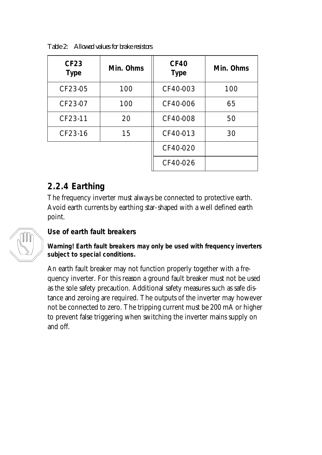| <b>CF23</b><br><b>Type</b> | Min. Ohms | <b>CF40</b><br><b>Type</b> | Min. Ohms |
|----------------------------|-----------|----------------------------|-----------|
| CF23-05                    | 100       | CF40-003                   | 100       |
| CF23-07                    | 100       | CF40-006                   | 65        |
| CF23-11                    | 20        | CF40-008                   | 50        |
| CF23-16                    | 15        | CF40-013                   | 30        |
|                            |           | CF40-020                   |           |
|                            |           | CF40-026                   |           |

*Table 2: Allowed values for brake resistors*

#### **2.2.4 Earthing**

The frequency inverter must always be connected to protective earth. Avoid earth currents by earthing star-shaped with a well defined earth point.



#### **Use of earth fault breakers**

**Warning! Earth fault breakers may only be used with frequency inverters subject to special conditions.**

An earth fault breaker may not function properly together with a frequency inverter. For this reason a ground fault breaker must not be used as the sole safety precaution. Additional safety measures such as safe distance and zeroing are required. The outputs of the inverter may however not be connected to zero. The tripping current must be 200 mA or higher to prevent false triggering when switching the inverter mains supply on and off.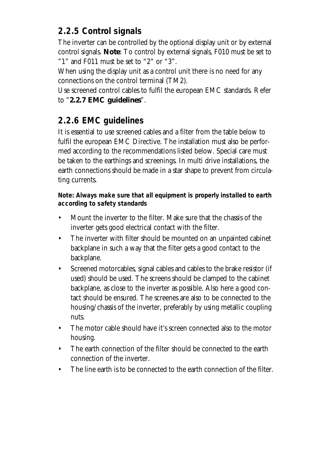### **2.2.5 Control signals**

The inverter can be controlled by the optional display unit or by external control signals. **Note**: To control by external signals, F010 must be set to "1" and F011 must be set to "2" or "3".

When using the display unit as a control unit there is no need for any connections on the control terminal (TM2).

Use screened control cables to fulfil the european EMC standards. Refer to "**2.2.7 EMC guidelines**".

## **2.2.6 EMC guidelines**

It is essential to use screened cables and a filter from the table below to fulfil the european EMC Directive. The installation must also be performed according to the recommendations listed below. Special care must be taken to the earthings and screenings. In multi drive installations, the earth connections should be made in a star shape to prevent from circulating currents.

**Note: Always make sure that all equipment is properly installed to earth according to safety standards**

- Mount the inverter to the filter. Make sure that the chassis of the inverter gets good electrical contact with the filter.
- The inverter with filter should be mounted on an unpainted cabinet backplane in such a way that the filter gets a good contact to the backplane.
- Screened motorcables, signal cables and cables to the brake resistor (if used) should be used. The screens should be clamped to the cabinet backplane, as close to the inverter as possible. Also here a good contact should be ensured. The screenes are also to be connected to the housing/chassis of the inverter, preferably by using metallic coupling nuts.
- The motor cable should have it's screen connected also to the motor housing.
- The earth connection of the filter should be connected to the earth connection of the inverter.
- The line earth is to be connected to the earth connection of the filter.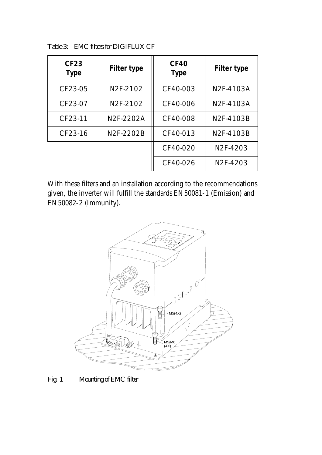| <b>CF23</b><br><b>Type</b> | <b>Filter type</b> | <b>CF40</b><br><b>Type</b> | <b>Filter type</b>    |
|----------------------------|--------------------|----------------------------|-----------------------|
| CF23-05                    | N2F-2102           | CF40-003                   | N2F-4103A             |
| CF23-07                    | N2F-2102           | CF40-006                   | N2F-4103A             |
| CF23-11                    | N2F-2202A          | CF40-008                   | N2F-4103B             |
| CF23-16                    | N2F-2202B          | CF40-013                   | N2F-4103B             |
|                            |                    | CF40-020                   | N <sub>2</sub> F-4203 |
|                            |                    | CF40-026                   | N <sub>2</sub> F-4203 |

*Table 3: EMC filters for DIGIFLUX CF*

With these filters and an installation according to the recommendations given, the inverter will fulfill the standards EN50081-1 (Emission) and EN50082-2 (Immunity).



*Fig. 1 Mounting of EMC filter*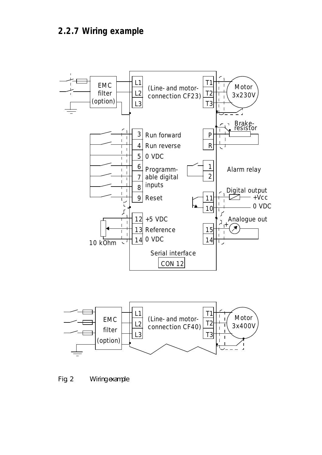#### **2.2.7 Wiring example**





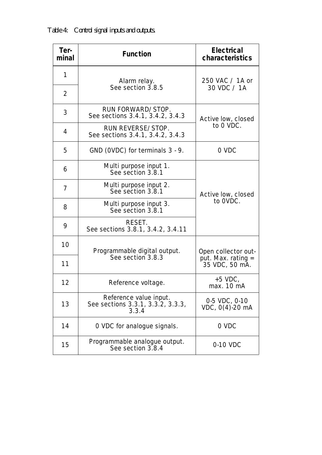*Table 4: Control signal inputs and outputs.*

| Ter-<br>minal  | <b>Function</b>                                                      | <b>Electrical</b><br><b>characteristics</b> |
|----------------|----------------------------------------------------------------------|---------------------------------------------|
| 1              | Alarm relay.                                                         | 250 VAC / 1A or                             |
| $\overline{2}$ | See section 3.8.5                                                    | 30 VDC / 1A                                 |
| 3              | RUN FORWARD/STOP.<br>See sections 3.4.1, 3.4.2, 3.4.3                | Active low, closed                          |
| 4              | RUN REVERSE/STOP.<br>See sections 3.4.1, 3.4.2, 3.4.3                | to 0 VDC.                                   |
| 5              | GND (OVDC) for terminals 3 - 9.                                      | 0 VDC                                       |
| 6              | Multi purpose input 1.<br>See section 3.8.1                          |                                             |
| 7              | Multi purpose input 2.<br>See section 3.8.1                          | Active low, closed                          |
| 8              | Multi purpose input 3.<br>See section 3.8.1                          | to OVDC.                                    |
| 9              | RESET.<br>See sections 3.8.1, 3.4.2, 3.4.11                          |                                             |
| 10             | Programmable digital output.                                         | Open collector out-                         |
| 11             | See section 3.8.3                                                    | $put.$ Max. rating $=$<br>35 VDC, 50 mA.    |
| 12             | Reference voltage.                                                   | $+5$ VDC,<br>max. 10 mA                     |
| 13             | Reference value input.<br>See sections 3.3.1, 3.3.2, 3.3.3,<br>3.3.4 | 0-5 VDC, 0-10<br>VDC, 0(4)-20 mA            |
| 14             | O VDC for analogue signals.                                          | 0 VDC                                       |
| 15             | Programmable analogue output.<br>See section 3.8.4                   | 0-10 VDC                                    |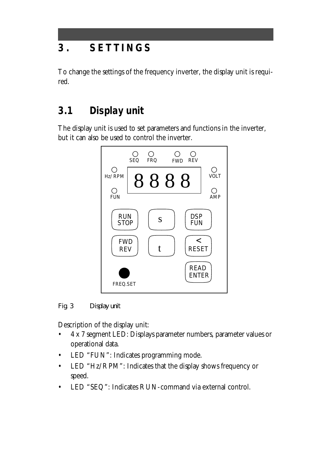# **3 . SETTING S**

To change the settings of the frequency inverter, the display unit is required.

# **3.1 Display unit**

The display unit is used to set parameters and functions in the inverter, but it can also be used to control the inverter.



*Fig. 3 Display unit*

Description of the display unit:

- 4 x 7 segment LED: Displays parameter numbers, parameter values or operational data.
- LED "FUN": Indicates programming mode.
- LED "Hz/RPM": Indicates that the display shows frequency or speed.
- LED "SEQ": Indicates RUN-command via external control.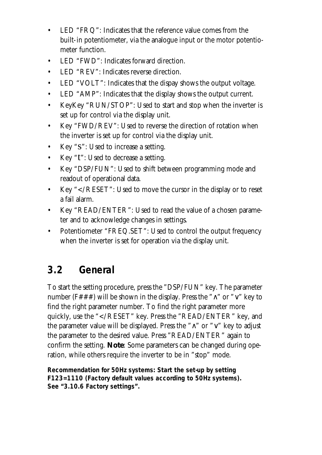- LED "FRQ": Indicates that the reference value comes from the built-in potentiometer, via the analogue input or the motor potentiometer function.
- LED "FWD": Indicates forward direction.
- LED "REV": Indicates reverse direction.
- LED "VOLT": Indicates that the dispay shows the output voltage.
- LED "AMP": Indicates that the display shows the output current.
- KeyKey "RUN/STOP": Used to start and stop when the inverter is set up for control via the display unit.
- Key "FWD/REV": Used to reverse the direction of rotation when the inverter is set up for control via the display unit.
- Key "s": Used to increase a setting.
- Key "t": Used to decrease a setting.
- Key "DSP/FUN": Used to shift between programming mode and readout of operational data.
- Key "</RESET": Used to move the cursor in the display or to reset a fail alarm.
- Key "READ/ENTER": Used to read the value of a chosen parameter and to acknowledge changes in settings.
- Potentiometer "FREQ.SET": Used to control the output frequency when the inverter is set for operation via the display unit.

## **3.2 General**

To start the setting procedure, press the "DSP/FUN" key. The parameter number (F###) will be shown in the display. Press the " $\land$ " or " $\lor$ " key to find the right parameter number. To find the right parameter more quickly, use the "</RESET" key. Press the "READ/ENTER" key, and the parameter value will be displayed. Press the "∧" or "∨" key to adjust the parameter to the desired value. Press "READ/ENTER" again to confirm the setting. **Note**: Some parameters can be changed during operation, while others require the inverter to be in "stop" mode.

**Recommendation for 50Hz systems: Start the set-up by setting F123=1110 (Factory default values according to 50Hz systems). See "3.10.6 Factory settings".**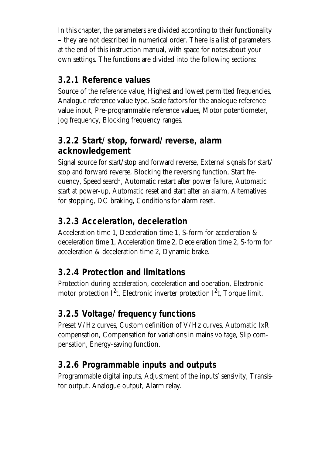In this chapter, the parameters are divided according to their functionality – they are not described in numerical order. There is a list of parameters at the end of this instruction manual, with space for notes about your own settings. The functions are divided into the following sections:

#### **3.2.1 Reference values**

Source of the reference value, Highest and lowest permitted frequencies, Analogue reference value type, Scale factors for the analogue reference value input, Pre-programmable reference values, Motor potentiometer, Jog frequency, Blocking frequency ranges.

### **3.2.2 Start/stop, forward/reverse, alarm acknowledgement**

Signal source for start/stop and forward reverse, External signals for start/ stop and forward reverse, Blocking the reversing function, Start frequency, Speed search, Automatic restart after power failure, Automatic start at power-up, Automatic reset and start after an alarm, Alternatives for stopping, DC braking, Conditions for alarm reset.

### **3.2.3 Acceleration, deceleration**

Acceleration time 1, Deceleration time 1, S-form for acceleration & deceleration time 1, Acceleration time 2, Deceleration time 2, S-form for acceleration & deceleration time 2, Dynamic brake.

### **3.2.4 Protection and limitations**

Protection during acceleration, deceleration and operation, Electronic motor protection I<sup>2</sup>t, Electronic inverter protection I<sup>2</sup>t, Torque limit.

## **3.2.5 Voltage/frequency functions**

Preset V/Hz curves, Custom definition of V/Hz curves, Automatic IxR compensation, Compensation for variations in mains voltage, Slip compensation, Energy-saving function.

### **3.2.6 Programmable inputs and outputs**

Programmable digital inputs, Adjustment of the inputs' sensivity, Transistor output, Analogue output, Alarm relay.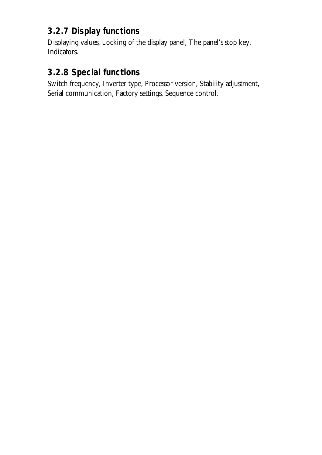### **3.2.7 Display functions**

Displaying values, Locking of the display panel, The panel's stop key, Indicators.

#### **3.2.8 Special functions**

Switch frequency, Inverter type, Processor version, Stability adjustment, Serial communication, Factory settings, Sequence control.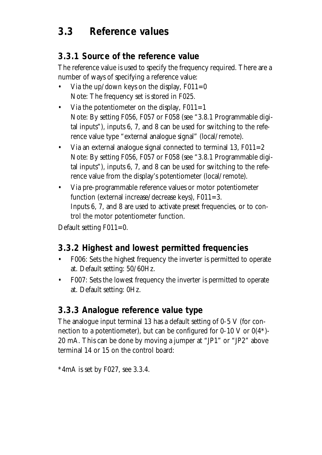## **3.3 Reference values**

#### **3.3.1 Source of the reference value**

The reference value is used to specify the frequency required. There are a number of ways of specifying a reference value:

- Via the up/down keys on the display,  $F011=0$ Note: The frequency set is stored in F025.
- Via the potentiometer on the display,  $F011=1$ Note: By setting F056, F057 or F058 (see "3.8.1 Programmable digital inputs"), inputs 6, 7, and 8 can be used for switching to the reference value type "external analogue signal" (local/remote).
- Via an external analogue signal connected to terminal 13,  $F011=2$ Note: By setting F056, F057 or F058 (see "3.8.1 Programmable digital inputs"), inputs 6, 7, and 8 can be used for switching to the reference value from the display's potentiometer (local/remote).
- Via pre-programmable reference values or motor potentiometer function (external increase/decrease keys),  $F011=3$ . Inputs 6, 7, and 8 are used to activate preset frequencies, or to control the motor potentiometer function.

Default setting F011=0.

#### **3.3.2 Highest and lowest permitted frequencies**

- F006: Sets the highest frequency the inverter is permitted to operate at. Default setting: 50/60Hz.
- F007: Sets the lowest frequency the inverter is permitted to operate at. Default setting: 0Hz.

#### **3.3.3 Analogue reference value type**

The analogue input terminal 13 has a default setting of 0-5 V (for connection to a potentiometer), but can be configured for  $0\n-10$  V or  $0(4^*)$ -20 mA. This can be done by moving a jumper at "JP1" or "JP2" above terminal 14 or 15 on the control board:

 $*4mA$  is set by F027, see 3.3.4.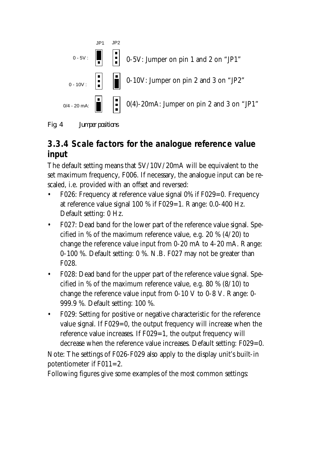

*Fig. 4 Jumper positions*

### **3.3.4 Scale factors for the analogue reference value input**

The default setting means that 5V/10V/20mA will be equivalent to the set maximum frequency, F006. If necessary, the analogue input can be rescaled, i.e. provided with an offset and reversed:

- F026: Frequency at reference value signal 0% if F029=0. Frequency at reference value signal  $100\%$  if F029=1. Range: 0.0-400 Hz. Default setting: 0 Hz.
- F027: Dead band for the lower part of the reference value signal. Specified in % of the maximum reference value, e.g. 20 % (4/20) to change the reference value input from 0-20 mA to 4-20 mA. Range: 0-100 %. Default setting: 0 %. N.B. F027 may not be greater than F028.
- F028: Dead band for the upper part of the reference value signal. Specified in % of the maximum reference value, e.g. 80 % (8/10) to change the reference value input from 0-10 V to 0-8 V. Range: 0- 999.9 %. Default setting: 100 %.
- F029: Setting for positive or negative characteristic for the reference value signal. If F029=0, the output frequency will increase when the reference value increases. If F029=1, the output frequency will decrease when the reference value increases. Default setting: F029=0.

Note: The settings of F026-F029 also apply to the display unit's built-in potentiometer if F011=2.

Following figures give some examples of the most common settings: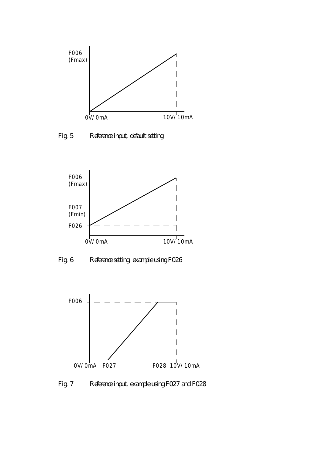

*Fig. 5 Reference input, default setting*



*Fig. 6 Reference setting, example using F026*



*Fig. 7 Reference input, example using F027 and F028*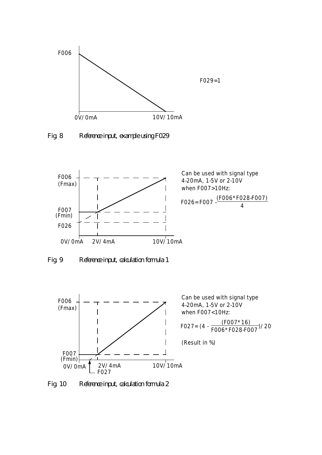

*Fig. 8 Reference input, example using F029*



*Fig. 9 Reference input, calculation formula 1*



Can be used with signal type 4-20mA, 1-5V or 2-10V when F007<10Hz:

$$
FO27 = (4 - \frac{(FO07 * 16)}{FO06 * FO28 \cdot FO07})/20
$$

(Result in %)

*Fig. 10 Reference input, calculation formula 2*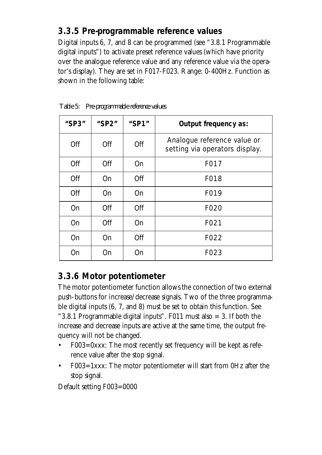#### **3.3.5 Pre-programmable reference values**

Digital inputs 6, 7, and 8 can be programmed (see "3.8.1 Programmable digital inputs") to activate preset reference values (which have priority over the analogue reference value and any reference value via the operator's display). They are set in F017-F023. Range: 0-400Hz. Function as shown in the following table:

| "SP3"      | "SP2" | "SP1"     | <b>Output frequency as:</b>                                   |
|------------|-------|-----------|---------------------------------------------------------------|
| <b>Off</b> | Off   | Off       | Analogue reference value or<br>setting via operators display. |
| Off        | Off   | <b>On</b> | F017                                                          |
| Off        | On    | Off       | F018                                                          |
| Off        | On    | <b>On</b> | F019                                                          |
| On         | Off   | Off       | F020                                                          |
| On         | Off   | <b>On</b> | F021                                                          |
| On         | On    | Off       | F022                                                          |
| <b>On</b>  | On    | On        | F023                                                          |

*Table 5: Pre-programmable reference values*

#### **3.3.6 Motor potentiometer**

The motor potentiometer function allows the connection of two external push-buttons for increase/decrease signals. Two of the three programmable digital inputs (6, 7, and 8) must be set to obtain this function. See "3.8.1 Programmable digital inputs". F011 must also  $=$  3. If both the increase and decrease inputs are active at the same time, the output frequency will not be changed.

- F003=0xxx: The most recently set frequency will be kept as reference value after the stop signal.
- F003=1xxx: The motor potentiometer will start from 0Hz after the stop signal.

Default setting F003=0000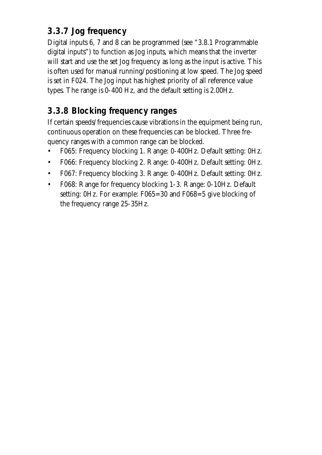### **3.3.7 Jog frequency**

Digital inputs 6, 7 and 8 can be programmed (see "3.8.1 Programmable digital inputs") to function as Jog inputs, which means that the inverter will start and use the set Jog frequency as long as the input is active. This is often used for manual running/positioning at low speed. The Jog speed is set in F024. The Jog input has highest priority of all reference value types. The range is 0-400 Hz, and the default setting is 2.00Hz.

### **3.3.8 Blocking frequency ranges**

If certain speeds/frequencies cause vibrations in the equipment being run, continuous operation on these frequencies can be blocked. Three frequency ranges with a common range can be blocked.

- F065: Frequency blocking 1. Range: 0-400Hz. Default setting: 0Hz.
- F066: Frequency blocking 2. Range: 0-400Hz. Default setting: 0Hz.
- F067: Frequency blocking 3. Range: 0-400Hz. Default setting: 0Hz.
- F068: Range for frequency blocking 1-3. Range: 0-10Hz. Default setting: 0Hz. For example: F065=30 and F068=5 give blocking of the frequency range 25-35Hz.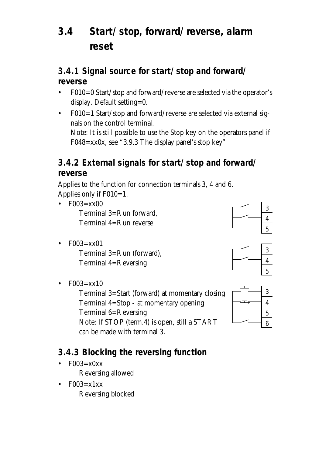# **3.4 Start/stop, forward/reverse, alarm reset**

#### **3.4.1 Signal source for start/stop and forward/ reverse**

- F010=0 Start/stop and forward/reverse are selected via the operator's display. Default setting=0.
- F010=1 Start/stop and forward/reverse are selected via external signals on the control terminal. Note: It is still possible to use the Stop key on the operators panel if F048=xx0x, see "3.9.3 The display panel's stop key"

#### **3.4.2 External signals for start/stop and forward/ reverse**

Applies to the function for connection terminals 3, 4 and 6. Applies only if F010=1.

- $\cdot$  F003=xx00 Terminal 3=Run forward, Terminal 4=Run reverse
- $F003 = xx01$ Terminal 3=Run (forward), Terminal 4=Reversing
- $F003 = xx10$

Terminal 3=Start (forward) at momentary closing Terminal 4=Stop - at momentary opening Terminal 6=Reversing Note: If STOP (term.4) is open, still a START can be made with terminal 3.

### **3.4.3 Blocking the reversing function**

- $F003=x0xx$ Reversing allowed
- $F003 = x1xx$ Reversing blocked





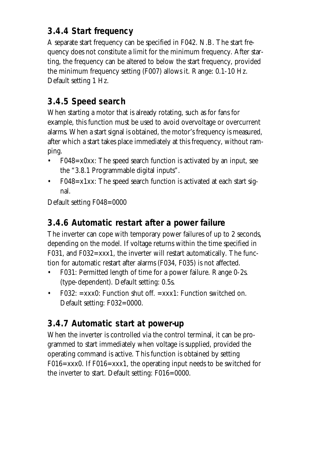### **3.4.4 Start frequency**

A separate start frequency can be specified in F042. N.B. The start frequency does not constitute a limit for the minimum frequency. After starting, the frequency can be altered to below the start frequency, provided the minimum frequency setting (F007) allows it. Range: 0.1-10 Hz. Default setting 1 Hz.

## **3.4.5 Speed search**

When starting a motor that is already rotating, such as for fans for example, this function must be used to avoid overvoltage or overcurrent alarms. When a start signal is obtained, the motor's frequency is measured, after which a start takes place immediately at this frequency, without ramping.

- F048=x0xx: The speed search function is activated by an input, see the "3.8.1 Programmable digital inputs".
- F048=x1xx: The speed search function is activated at each start signal.

Default setting F048=0000

#### **3.4.6 Automatic restart after a power failure**

The inverter can cope with temporary power failures of up to 2 seconds, depending on the model. If voltage returns within the time specified in F031, and F032=xxx1, the inverter will restart automatically. The function for automatic restart after alarms (F034, F035) is not affected.

- F031: Permitted length of time for a power failure. Range 0-2s. (type-dependent). Default setting: 0.5s.
- F032:  $=xxx0$ : Function shut off.  $=xxx1$ : Function switched on. Default setting: F032=0000.

#### **3.4.7 Automatic start at power-up**

When the inverter is controlled via the control terminal, it can be programmed to start immediately when voltage is supplied, provided the operating command is active. This function is obtained by setting F016=xxx0. If F016=xxx1, the operating input needs to be switched for the inverter to start. Default setting: F016=0000.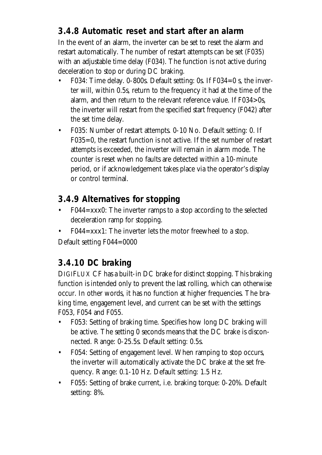### **3.4.8 Automatic reset and start after an alarm**

In the event of an alarm, the inverter can be set to reset the alarm and restart automatically. The number of restart attempts can be set (F035) with an adjustable time delay (F034). The function is not active during deceleration to stop or during DC braking.

- F034: Time delay. 0-800s. Default setting: 0s. If F034=0 s, the inverter will, within 0.5s, return to the frequency it had at the time of the alarm, and then return to the relevant reference value. If F034>0s, the inverter will restart from the specified start frequency (F042) after the set time delay.
- F035: Number of restart attempts. 0-10 No. Default setting: 0. If F035=0, the restart function is not active. If the set number of restart attempts is exceeded, the inverter will remain in alarm mode. The counter is reset when no faults are detected within a 10-minute period, or if acknowledgement takes place via the operator's display or control terminal.

#### **3.4.9 Alternatives for stopping**

- F044=xxx0: The inverter ramps to a stop according to the selected deceleration ramp for stopping.
- F044=xxx1: The inverter lets the motor freewheel to a stop. Default setting F044=0000

#### **3.4.10 DC braking**

DIGIFLUX CF has a built-in DC brake for distinct stopping. This braking function is intended only to prevent the last rolling, which can otherwise occur. In other words, it has no function at higher frequencies. The braking time, engagement level, and current can be set with the settings F053, F054 and F055.

- F053: Setting of braking time. Specifies how long DC braking will be active. The setting 0 seconds means that the DC brake is disconnected. Range: 0-25.5s. Default setting: 0.5s.
- F054: Setting of engagement level. When ramping to stop occurs, the inverter will automatically activate the DC brake at the set frequency. Range: 0.1-10 Hz. Default setting: 1.5 Hz.
- F055: Setting of brake current, i.e. braking torque: 0-20%. Default setting: 8%.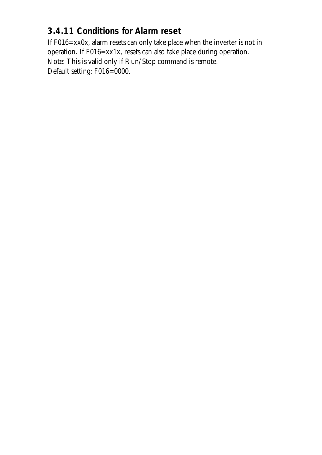### **3.4.11 Conditions for Alarm reset**

If F016=xx0x, alarm resets can only take place when the inverter is not in operation. If F016=xx1x, resets can also take place during operation. Note: This is valid only if Run/Stop command is remote. Default setting: F016=0000.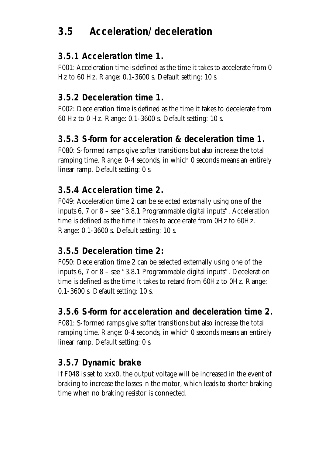## **3.5 Acceleration/deceleration**

### **3.5.1 Acceleration time 1.**

F001: Acceleration time is defined as the time it takes to accelerate from 0 Hz to 60 Hz. Range: 0.1-3600 s. Default setting: 10 s.

#### **3.5.2 Deceleration time 1.**

F002: Deceleration time is defined as the time it takes to decelerate from 60 Hz to 0 Hz. Range: 0.1-3600 s. Default setting: 10 s.

### **3.5.3 S-form for acceleration & deceleration time 1.**

F080: S-formed ramps give softer transitions but also increase the total ramping time. Range: 0-4 seconds, in which 0 seconds means an entirely linear ramp. Default setting: 0 s.

### **3.5.4 Acceleration time 2.**

F049: Acceleration time 2 can be selected externally using one of the inputs 6, 7 or 8 – see "3.8.1 Programmable digital inputs". Acceleration time is defined as the time it takes to accelerate from 0Hz to 60Hz. Range: 0.1-3600 s. Default setting: 10 s.

#### **3.5.5 Deceleration time 2:**

F050: Deceleration time 2 can be selected externally using one of the inputs 6, 7 or 8 – see "3.8.1 Programmable digital inputs". Deceleration time is defined as the time it takes to retard from 60Hz to 0Hz. Range: 0.1-3600 s. Default setting: 10 s.

### **3.5.6 S-form for acceleration and deceleration time 2.**

F081: S-formed ramps give softer transitions but also increase the total ramping time. Range: 0-4 seconds, in which 0 seconds means an entirely linear ramp. Default setting: 0 s.

### **3.5.7 Dynamic brake**

If F048 is set to xxx0, the output voltage will be increased in the event of braking to increase the losses in the motor, which leads to shorter braking time when no braking resistor is connected.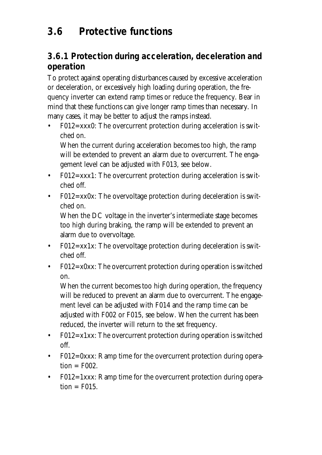# **3.6 Protective functions**

#### **3.6.1 Protection during acceleration, deceleration and operation**

To protect against operating disturbances caused by excessive acceleration or deceleration, or excessively high loading during operation, the frequency inverter can extend ramp times or reduce the frequency. Bear in mind that these functions can give longer ramp times than necessary. In many cases, it may be better to adjust the ramps instead.

• F012=xxx0: The overcurrent protection during acceleration is switched on.

When the current during acceleration becomes too high, the ramp will be extended to prevent an alarm due to overcurrent. The engagement level can be adjusted with F013, see below.

- F012=xxx1: The overcurrent protection during acceleration is switched off.
- F012=xx0x: The overvoltage protection during deceleration is switched on.

When the DC voltage in the inverter's intermediate stage becomes too high during braking, the ramp will be extended to prevent an alarm due to overvoltage.

- F012=xx1x: The overvoltage protection during deceleration is switched off.
- F012=x0xx: The overcurrent protection during operation is switched on.

When the current becomes too high during operation, the frequency will be reduced to prevent an alarm due to overcurrent. The engagement level can be adjusted with F014 and the ramp time can be adjusted with F002 or F015, see below. When the current has been reduced, the inverter will return to the set frequency.

- F012=x1xx: The overcurrent protection during operation is switched off.
- F012=0xxx: Ramp time for the overcurrent protection during opera $tion = F002.$
- F012=1xxx: Ramp time for the overcurrent protection during opera $tion = F015.$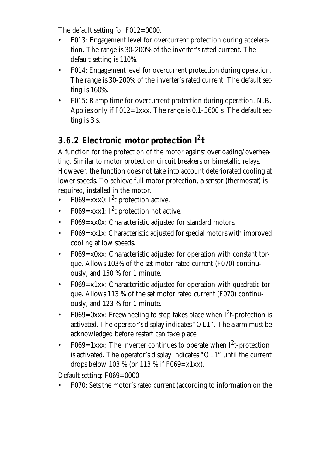The default setting for F012=0000.

- F013: Engagement level for overcurrent protection during acceleration. The range is 30-200% of the inverter's rated current. The default setting is 110%.
- F014: Engagement level for overcurrent protection during operation. The range is 30-200% of the inverter's rated current. The default setting is 160%.
- F015: Ramp time for overcurrent protection during operation. N.B. Applies only if  $F012=1xxx$ . The range is 0.1-3600 s. The default setting is 3 s.

## **3.6.2 Electronic motor protection I<sup>2</sup> t**

A function for the protection of the motor against overloading/overheating. Similar to motor protection circuit breakers or bimetallic relays. However, the function does not take into account deteriorated cooling at lower speeds. To achieve full motor protection, a sensor (thermostat) is required, installed in the motor.

- F069=xxx0:  $I^2$ t protection active.
- F069=xxx1:  $I^2t$  protection not active.
- F069=xx0x: Characteristic adjusted for standard motors.
- F069=xx1x: Characteristic adjusted for special motors with improved cooling at low speeds.
- F069=x0xx: Characteristic adjusted for operation with constant torque. Allows 103% of the set motor rated current (F070) continuously, and 150 % for 1 minute.
- F069=x1xx: Characteristic adjusted for operation with quadratic torque. Allows 113 % of the set motor rated current (F070) continuously, and 123 % for 1 minute.
- F069=0xxx: Freewheeling to stop takes place when  $I^2$ t-protection is activated. The operator's display indicates "OL1". The alarm must be acknowledged before restart can take place.
- F069=1xxx: The inverter continues to operate when  $I^2$ t-protection is activated. The operator's display indicates "OL1" until the current drops below 103 % (or 113 % if  $F069 = x1xx$ ).

Default setting: F069=0000

• F070: Sets the motor's rated current (according to information on the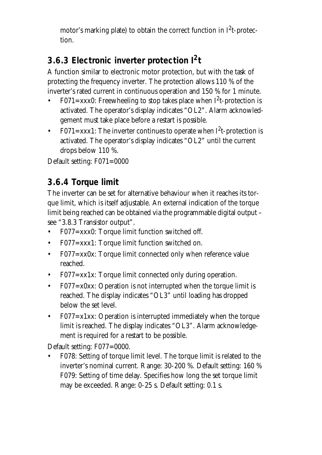motor's marking plate) to obtain the correct function in  $I^2$ t-protection.

## **3.6.3 Electronic inverter protection I<sup>2</sup> t**

A function similar to electronic motor protection, but with the task of protecting the frequency inverter. The protection allows 110 % of the inverter's rated current in continuous operation and 150 % for 1 minute.

- F071=xxx0: Freewheeling to stop takes place when  $I^2$ t-protection is activated. The operator's display indicates "OL2". Alarm acknowledgement must take place before a restart is possible.
- F071=xxx1: The inverter continues to operate when  $I^2$ t-protection is activated. The operator's display indicates "OL2" until the current drops below 110 %.

Default setting: F071=0000

## **3.6.4 Torque limit**

The inverter can be set for alternative behaviour when it reaches its torque limit, which is itself adjustable. An external indication of the torque limit being reached can be obtained via the programmable digital output – see "3.8.3 Transistor output".

- F077=xxx0: Torque limit function switched off.
- F077=xxx1: Torque limit function switched on.
- F077=xx0x: Torque limit connected only when reference value reached.
- F077=xx1x: Torque limit connected only during operation.
- $F077 = x0xx$ : Operation is not interrupted when the torque limit is reached. The display indicates "OL3" until loading has dropped below the set level.
- F077=x1xx: Operation is interrupted immediately when the torque limit is reached. The display indicates "OL3". Alarm acknowledgement is required for a restart to be possible.

Default setting: F077=0000.

• F078: Setting of torque limit level. The torque limit is related to the inverter's nominal current. Range: 30-200 %. Default setting: 160 % F079: Setting of time delay. Specifies how long the set torque limit may be exceeded. Range: 0-25 s. Default setting: 0.1 s.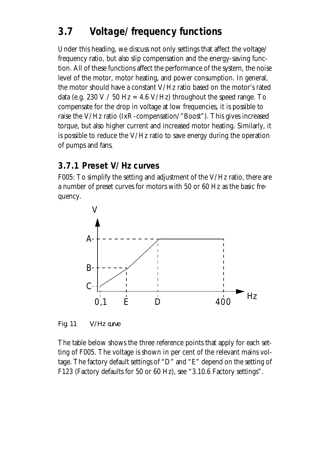## **3.7 Voltage/frequency functions**

Under this heading, we discuss not only settings that affect the voltage/ frequency ratio, but also slip compensation and the energy-saving function. All of these functions affect the performance of the system, the noise level of the motor, motor heating, and power consumption. In general, the motor should have a constant V/Hz ratio based on the motor's rated data (e.g. 230 V / 50 Hz = 4.6 V/Hz) throughout the speed range. To compensate for the drop in voltage at low frequencies, it is possible to raise the V/Hz ratio (IxR-compensation/"Boost"). This gives increased torque, but also higher current and increased motor heating. Similarly, it is possible to reduce the V/Hz ratio to save energy during the operation of pumps and fans.

#### **3.7.1 Preset V/Hz curves**

F005: To simplify the setting and adjustment of the V/Hz ratio, there are a number of preset curves for motors with 50 or 60 Hz as the basic frequency.



*Fig. 11 V/Hz curve*

The table below shows the three reference points that apply for each setting of F005. The voltage is shown in per cent of the relevant mains voltage. The factory default settings of "D" and "E" depend on the setting of F123 (Factory defaults for 50 or 60 Hz), see "3.10.6 Factory settings".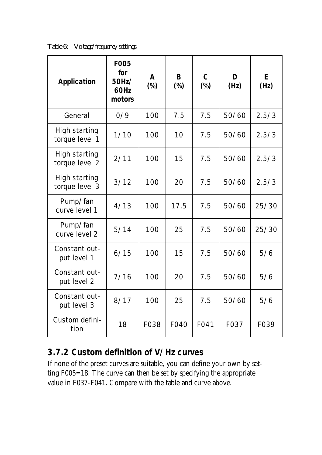*Table 6: Voltage/frequency settings*

| <b>Application</b>                     | <b>F005</b><br>for<br>50Hz/<br>60Hz<br>motors | A<br>$(\%)$ | B<br>$(\%)$ | $\mathbf C$<br>$(\%)$ | D<br>(Hz) | E<br>(Hz) |
|----------------------------------------|-----------------------------------------------|-------------|-------------|-----------------------|-----------|-----------|
| General                                | 0/9                                           | 100         | 7.5         | 7.5                   | 50/60     | 2.5/3     |
| <b>High starting</b><br>torque level 1 | 1/10                                          | 100         | 10          | 7.5                   | 50/60     | 2.5/3     |
| <b>High starting</b><br>torque level 2 | 2/11                                          | 100         | 15          | 7.5                   | 50/60     | 2.5/3     |
| <b>High starting</b><br>torque level 3 | 3/12                                          | 100         | 20          | 7.5                   | 50/60     | 2.5/3     |
| Pump/fan<br>curve level 1              | 4/13                                          | 100         | 17.5        | 7.5                   | 50/60     | 25/30     |
| Pump/fan<br>curve level 2              | 5/14                                          | 100         | 25          | 7.5                   | 50/60     | 25/30     |
| Constant out-<br>put level 1           | 6/15                                          | 100         | 15          | 7.5                   | 50/60     | 5/6       |
| Constant out-<br>put level 2           | 7/16                                          | 100         | 20          | 7.5                   | 50/60     | 5/6       |
| Constant out-<br>put level 3           | 8/17                                          | 100         | 25          | 7.5                   | 50/60     | 5/6       |
| Custom defini-<br>tion                 | 18                                            | F038        | F040        | F041                  | F037      | F039      |

#### **3.7.2 Custom definition of V/Hz curves**

If none of the preset curves are suitable, you can define your own by setting F005=18. The curve can then be set by specifying the appropriate value in F037-F041. Compare with the table and curve above.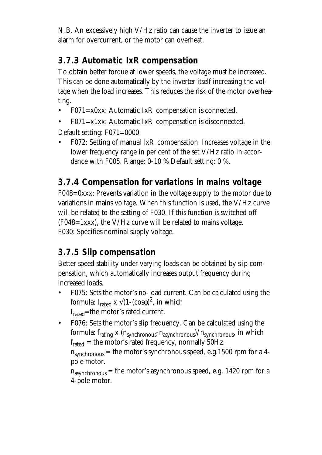N.B. An excessively high V/Hz ratio can cause the inverter to issue an alarm for overcurrent, or the motor can overheat.

#### **3.7.3 Automatic IxR compensation**

To obtain better torque at lower speeds, the voltage must be increased. This can be done automatically by the inverter itself increasing the voltage when the load increases. This reduces the risk of the motor overheating.

- $F071 = x0xx$ : Automatic IxR compensation is connected.
- $F071 = x1xx$ : Automatic IxR compensation is disconnected.

Default setting: F071=0000

• F072: Setting of manual IxR compensation. Increases voltage in the lower frequency range in per cent of the set V/Hz ratio in accordance with F005. Range: 0-10 % Default setting: 0 %.

### **3.7.4 Compensation for variations in mains voltage**

F048=0xxx: Prevents variation in the voltage supply to the motor due to variations in mains voltage. When this function is used, the V/Hz curve will be related to the setting of F030. If this function is switched off  $(F048=1xxx)$ , the V/Hz curve will be related to mains voltage. F030: Specifies nominal supply voltage.

#### **3.7.5 Slip compensation**

Better speed stability under varying loads can be obtained by slip compensation, which automatically increases output frequency during increased loads.

- F075: Sets the motor's no-load current. Can be calculated using the formula: I<sub>rated</sub> x  $\sqrt{(1-(\text{cos}\phi)^2)}$ , in which I<sub>rated</sub>=the motor's rated current.
- F076: Sets the motor's slip frequency. Can be calculated using the formula:  $f_{rating}$  x ( $n_{synchronous} - n_{asynchronous}$ )/ $n_{synchronous}$ , in which  $f_{\text{rated}} =$  the motor's rated frequency, normally 50Hz.

 $n<sub>synchronous</sub>$  = the motor's synchronous speed, e.g.1500 rpm for a 4pole motor.

 $n<sub>asynchronous</sub> =$  the motor's asynchronous speed, e.g. 1420 rpm for a 4-pole motor.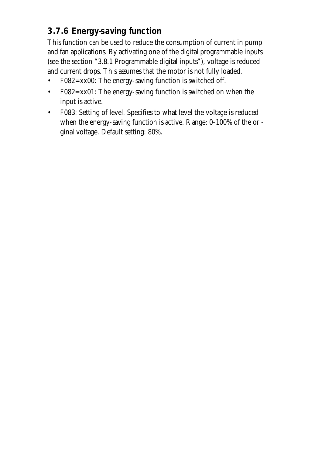## **3.7.6 Energy-saving function**

This function can be used to reduce the consumption of current in pump and fan applications. By activating one of the digital programmable inputs (see the section "3.8.1 Programmable digital inputs"), voltage is reduced and current drops. This assumes that the motor is not fully loaded.

- F082=xx00: The energy-saving function is switched off.
- F082=xx01: The energy-saving function is switched on when the input is active.
- F083: Setting of level. Specifies to what level the voltage is reduced when the energy-saving function is active. Range: 0-100% of the original voltage. Default setting: 80%.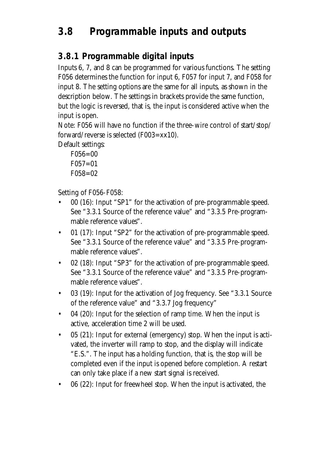## **3.8 Programmable inputs and outputs**

#### **3.8.1 Programmable digital inputs**

Inputs 6, 7, and 8 can be programmed for various functions. The setting F056 determines the function for input 6, F057 for input 7, and F058 for input 8. The setting options are the same for all inputs, as shown in the description below. The settings in brackets provide the same function, but the logic is reversed, that is, the input is considered active when the input is open.

Note: F056 will have no function if the three-wire control of start/stop/ forward/reverse is selected  $(F003=xx10)$ .

Default settings:

F056=00  $F057=01$ F058=02

Setting of F056-F058:

- 00 (16): Input "SP1" for the activation of pre-programmable speed. See "3.3.1 Source of the reference value" and "3.3.5 Pre-programmable reference values".
- 01 (17): Input "SP2" for the activation of pre-programmable speed. See "3.3.1 Source of the reference value" and "3.3.5 Pre-programmable reference values".
- 02 (18): Input "SP3" for the activation of pre-programmable speed. See "3.3.1 Source of the reference value" and "3.3.5 Pre-programmable reference values".
- 03 (19): Input for the activation of Jog frequency. See "3.3.1 Source of the reference value" and "3.3.7 Jog frequency"
- 04 (20): Input for the selection of ramp time. When the input is active, acceleration time 2 will be used.
- 05 (21): Input for external (emergency) stop. When the input is activated, the inverter will ramp to stop, and the display will indicate "E.S.". The input has a holding function, that is, the stop will be completed even if the input is opened before completion. A restart can only take place if a new start signal is received.
- 06 (22): Input for freewheel stop. When the input is activated, the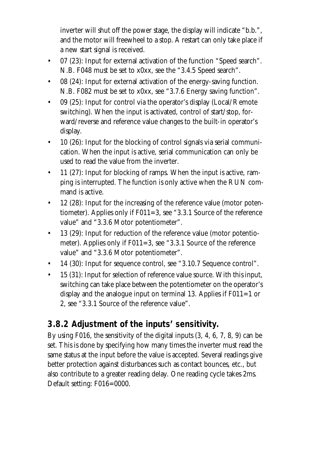inverter will shut off the power stage, the display will indicate "b.b.", and the motor will freewheel to a stop. A restart can only take place if a new start signal is received.

- 07 (23): Input for external activation of the function "Speed search". N.B. F048 must be set to x0xx, see the "3.4.5 Speed search".
- 08 (24): Input for external activation of the energy-saving function. N.B. F082 must be set to x0xx, see "3.7.6 Energy saving function".
- 09 (25): Input for control via the operator's display (Local/Remote switching). When the input is activated, control of start/stop, forward/reverse and reference value changes to the built-in operator's display.
- 10 (26): Input for the blocking of control signals via serial communication. When the input is active, serial communication can only be used to read the value from the inverter.
- 11 (27): Input for blocking of ramps. When the input is active, ramping is interrupted. The function is only active when the RUN command is active.
- 12 (28): Input for the increasing of the reference value (motor potentiometer). Applies only if F011=3, see "3.3.1 Source of the reference value" and "3.3.6 Motor potentiometer".
- 13 (29): Input for reduction of the reference value (motor potentiometer). Applies only if F011=3, see "3.3.1 Source of the reference value" and "3.3.6 Motor potentiometer".
- 14 (30): Input for sequence control, see "3.10.7 Sequence control".
- 15 (31): Input for selection of reference value source. With this input, switching can take place between the potentiometer on the operator's display and the analogue input on terminal 13. Applies if  $F011=1$  or 2, see "3.3.1 Source of the reference value".

### **3.8.2 Adjustment of the inputs' sensitivity.**

By using F016, the sensitivity of the digital inputs (3, 4, 6, 7, 8, 9) can be set. This is done by specifying how many times the inverter must read the same status at the input before the value is accepted. Several readings give better protection against disturbances such as contact bounces, etc., but also contribute to a greater reading delay. One reading cycle takes 2ms. Default setting: F016=0000.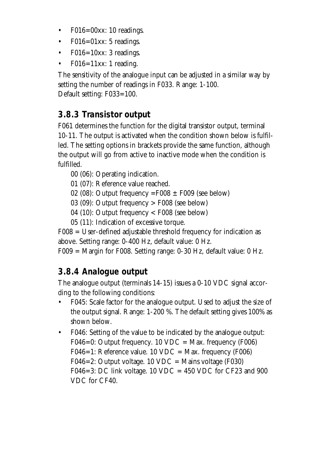- F016=00xx: 10 readings.
- F016=01xx: 5 readings.
- F016=10xx: 3 readings.
- F016=11xx: 1 reading.

The sensitivity of the analogue input can be adjusted in a similar way by setting the number of readings in F033. Range: 1-100. Default setting: F033=100.

#### **3.8.3 Transistor output**

F061 determines the function for the digital transistor output, terminal 10-11. The output is activated when the condition shown below is fulfilled. The setting options in brackets provide the same function, although the output will go from active to inactive mode when the condition is fulfilled.

- 00 (06): Operating indication.
- 01 (07): Reference value reached.
- 02 (08): Output frequency =  $F008 \pm F009$  (see below)
- 03 (09): Output frequency > F008 (see below)
- 04 (10): Output frequency < F008 (see below)
- 05 (11): Indication of excessive torque.

F008 = User-defined adjustable threshold frequency for indication as above. Setting range: 0-400 Hz, default value: 0 Hz.

F009 = Margin for F008. Setting range: 0-30 Hz, default value: 0 Hz.

### **3.8.4 Analogue output**

The analogue output (terminals 14-15) issues a 0-10 VDC signal according to the following conditions:

- F045: Scale factor for the analogue output. Used to adjust the size of the output signal. Range: 1-200 %. The default setting gives 100% as shown below.
- F046: Setting of the value to be indicated by the analogue output: F046=0: Output frequency. 10 VDC = Max. frequency (F006) F046=1: Reference value. 10 VDC = Max. frequency (F006) F046=2: Output voltage. 10 VDC = Mains voltage (F030) F046=3: DC link voltage.  $10 \text{ VDC} = 450 \text{ VDC}$  for CF23 and 900 VDC for CF40.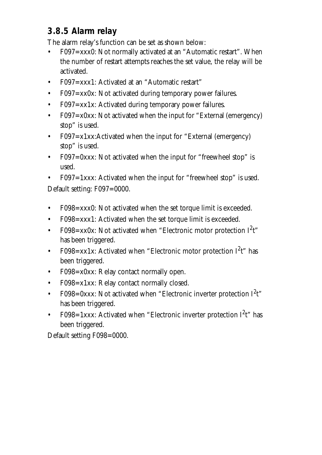### **3.8.5 Alarm relay**

The alarm relay's function can be set as shown below:

- F097=xxx0: Not normally activated at an "Automatic restart". When the number of restart attempts reaches the set value, the relay will be activated.
- F097=xxx1: Activated at an "Automatic restart"
- F097=xx0x: Not activated during temporary power failures.
- F097=xx1x: Activated during temporary power failures.
- F097=x0xx: Not activated when the input for "External (emergency) stop" is used.
- F097=x1xx:Activated when the input for "External (emergency) stop" is used.
- F097=0xxx: Not activated when the input for "freewheel stop" is used.
- F097=1xxx: Activated when the input for "freewheel stop" is used. Default setting: F097=0000.
- F098=xxx0: Not activated when the set torque limit is exceeded.
- F098=xxx1: Activated when the set torque limit is exceeded.
- F098=xx0x: Not activated when "Electronic motor protection  $I^2t$ " has been triggered.
- F098=xx1x: Activated when "Electronic motor protection  $I^2t$ " has been triggered.
- F098=x0xx: Relay contact normally open.
- F098=x1xx: Relay contact normally closed.
- F098=0xxx: Not activated when "Electronic inverter protection  $I^2t$ " has been triggered.
- F098=1xxx: Activated when "Electronic inverter protection  $I^2t$ " has been triggered.

Default setting F098=0000.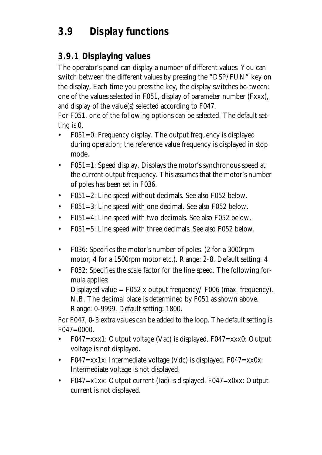# **3.9 Display functions**

#### **3.9.1 Displaying values**

The operator's panel can display a number of different values. You can switch between the different values by pressing the "DSP/FUN" key on the display. Each time you press the key, the display switches be-tween: one of the values selected in F051, display of parameter number (Fxxx), and display of the value(s) selected according to F047.

For F051, one of the following options can be selected. The default setting is 0.

- F051=0: Frequency display. The output frequency is displayed during operation; the reference value frequency is displayed in stop mode.
- F051=1: Speed display. Displays the motor's synchronous speed at the current output frequency. This assumes that the motor's number of poles has been set in F036.
- F051=2: Line speed without decimals. See also F052 below.
- F051=3: Line speed with one decimal. See also F052 below.
- F051=4: Line speed with two decimals. See also F052 below.
- F051=5: Line speed with three decimals. See also F052 below.
- F036: Specifies the motor's number of poles. (2 for a 3000rpm motor, 4 for a 1500rpm motor etc.). Range: 2-8. Default setting: 4
- F052: Specifies the scale factor for the line speed. The following formula applies: Displayed value =  $F052$  x output frequency/  $F006$  (max. frequency). N.B. The decimal place is determined by F051 as shown above. Range: 0-9999. Default setting: 1800.

For F047, 0-3 extra values can be added to the loop. The default setting is F047=0000.

- F047=xxx1: Output voltage (Vac) is displayed. F047=xxx0: Output voltage is not displayed.
- F047=xx1x: Intermediate voltage (Vdc) is displayed. F047=xx0x: Intermediate voltage is not displayed.
- F047=x1xx: Output current (Iac) is displayed. F047=x0xx: Output current is not displayed.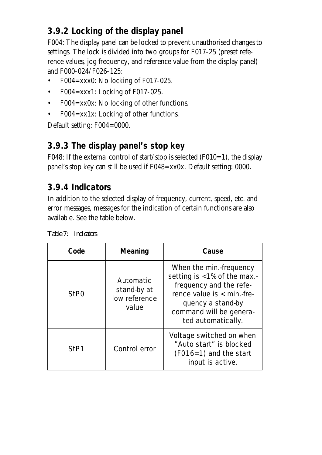## **3.9.2 Locking of the display panel**

F004: The display panel can be locked to prevent unauthorised changes to settings. The lock is divided into two groups for F017-25 (preset reference values, jog frequency, and reference value from the display panel) and F000-024/F026-125:

- F004=xxx0: No locking of F017-025.
- F004=xxx1: Locking of F017-025.
- F004=xx0x: No locking of other functions.
- F004=xx1x: Locking of other functions.

Default setting: F004=0000.

#### **3.9.3 The display panel's stop key**

F048: If the external control of start/stop is selected (F010=1), the display panel's stop key can still be used if F048=xx0x. Default setting: 0000.

### **3.9.4 Indicators**

In addition to the selected display of frequency, current, speed, etc. and error messages, messages for the indication of certain functions are also available. See the table below.

| <b>Indicators</b> |
|-------------------|
|                   |

| Code             | <b>Meaning</b><br>Cause                            |                                                                                                                                                                                         |
|------------------|----------------------------------------------------|-----------------------------------------------------------------------------------------------------------------------------------------------------------------------------------------|
| StP <sub>0</sub> | Automatic<br>stand-by at<br>low reference<br>value | When the min.-frequency<br>setting is <1% of the max.-<br>frequency and the refe-<br>rence value $is < min.$ fre-<br>quency a stand-by<br>command will be genera-<br>ted automatically. |
| StP1             | Control error                                      | Voltage switched on when<br>"Auto start" is blocked<br>$(F016=1)$ and the start<br>input is active.                                                                                     |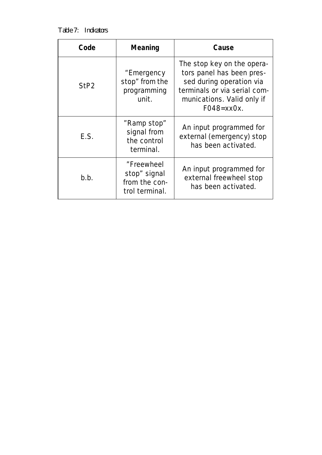*Table 7: Indicators*

| Code             | <b>Meaning</b>                                                | Cause                                                                                                                                                                       |
|------------------|---------------------------------------------------------------|-----------------------------------------------------------------------------------------------------------------------------------------------------------------------------|
| StP <sub>2</sub> | "Emergency<br>stop" from the<br>programming<br>unit.          | The stop key on the opera-<br>tors panel has been pres-<br>sed during operation via<br>terminals or via serial com-<br>munications. Valid only if<br>$F048 = x \times 0x$ . |
| E.S.             | "Ramp stop"<br>signal from<br>the control<br>terminal.        | An input programmed for<br>external (emergency) stop<br>has been activated.                                                                                                 |
| b.b.             | "Freewheel<br>stop" signal<br>from the con-<br>trol terminal. | An input programmed for<br>external freewheel stop<br>has been activated.                                                                                                   |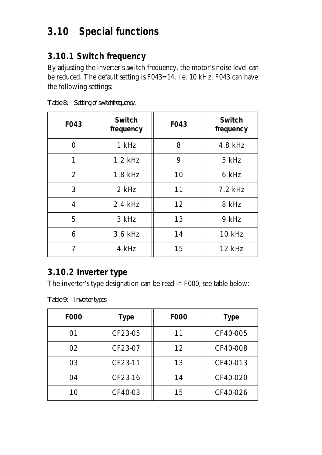## **3.10 Special functions**

#### **3.10.1 Switch frequency**

By adjusting the inverter's switch frequency, the motor's noise level can be reduced. The default setting is F043=14, i.e. 10 kHz. F043 can have the following settings:

| <b>F043</b>    | <b>Switch</b><br>frequency | <b>F043</b> | <b>Switch</b><br>frequency |
|----------------|----------------------------|-------------|----------------------------|
| ∩              | 1 kHz                      | 8           | 4.8 kHz                    |
| 1              | $1.2$ kHz                  | 9           | 5 kHz                      |
| 2              | 1.8 kHz                    | 10          | 6 kHz                      |
| 3              | 2 kHz                      | 11          | $7.2$ kHz                  |
| $\overline{4}$ | 2.4 kHz                    | 12          | 8 kHz                      |
| 5              | 3 kHz                      | 13          | 9 kHz                      |
| 6              | 3.6 kHz                    | 14          | 10 kHz                     |
| 7              | 4 kHz                      | 15          | 12 kHz                     |

*Table 8: Setting of switchfrequency.*

### **3.10.2 Inverter type**

The inverter's type designation can be read in F000, see table below:

*Table 9: Inverter types*

| <b>F000</b> | <b>Type</b> | <b>F000</b> |          |
|-------------|-------------|-------------|----------|
| 01          | CF23-05     | 11          | CF40-005 |
| 02          | CF23-07     | 12          | CF40-008 |
| 03          | CF23-11     | 13          | CF40-013 |
| 04          | CF23-16     | 14          | CF40-020 |
| 10          | CF40-03     | 15          | CF40-026 |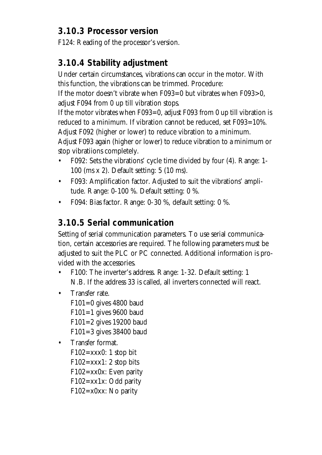#### **3.10.3 Processor version**

F124: Reading of the processor's version.

### **3.10.4 Stability adjustment**

Under certain circumstances, vibrations can occur in the motor. With this function, the vibrations can be trimmed. Procedure:

If the motor doesn't vibrate when F093=0 but vibrates when F093>0, adjust F094 from 0 up till vibration stops.

If the motor vibrates when F093=0, adjust F093 from 0 up till vibration is reduced to a minimum. If vibration cannot be reduced, set F093=10%.

Adjust F092 (higher or lower) to reduce vibration to a minimum.

Adjust F093 again (higher or lower) to reduce vibration to a minimum or stop vibratiions completely.

- F092: Sets the vibrations' cycle time divided by four (4). Range: 1- 100 (ms x 2). Default setting: 5 (10 ms).
- F093: Amplification factor. Adjusted to suit the vibrations' amplitude. Range: 0-100 %. Default setting: 0 %.
- F094: Bias factor. Range: 0-30 %, default setting: 0 %.

## **3.10.5 Serial communication**

Setting of serial communication parameters. To use serial communication, certain accessories are required. The following parameters must be adjusted to suit the PLC or PC connected. Additional information is provided with the accessories.

- F100: The inverter's address. Range: 1-32. Default setting: 1 N.B. If the address 33 is called, all inverters connected will react.
- Transfer rate.
	- F101=0 gives 4800 baud  $F101=1$  gives 9600 baud F101=2 gives 19200 baud F101=3 gives 38400 baud
- Transfer format.

 $F102=xxx0:1$  stop bit  $F102=xxx1: 2 stop bits$ F102=xx0x: Even parity F102=xx1x: Odd parity F102=x0xx: No parity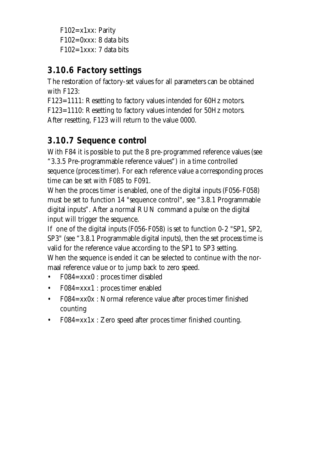F102=x1xx: Parity  $F102=0$ xxx: 8 data bits  $F102=1$ xxx: 7 data bits

### **3.10.6 Factory settings**

The restoration of factory-set values for all parameters can be obtained with F123:

F123=1111: Resetting to factory values intended for 60Hz motors.

F123=1110: Resetting to factory values intended for 50Hz motors. After resetting, F123 will return to the value 0000.

## **3.10.7 Sequence control**

With F84 it is possible to put the 8 pre-programmed reference values (see "3.3.5 Pre-programmable reference values") in a time controlled sequence (process timer). For each reference value a corresponding proces time can be set with F085 to F091.

When the proces timer is enabled, one of the digital inputs (F056-F058) must be set to function 14 "sequence control", see "3.8.1 Programmable digital inputs". After a normal RUN command a pulse on the digital input will trigger the sequence.

If one of the digital inputs (F056-F058) is set to function 0-2 "SP1, SP2, SP3" (see "3.8.1 Programmable digital inputs), then the set process time is valid for the reference value according to the SP1 to SP3 setting. When the sequence is ended it can be selected to continue with the normaal reference value or to jump back to zero speed.

- F084=xxx0 : proces timer disabled
- F084=xxx1 : proces timer enabled
- F084=xx0x : Normal reference value after proces timer finished counting
- F084=xx1x : Zero speed after proces timer finished counting.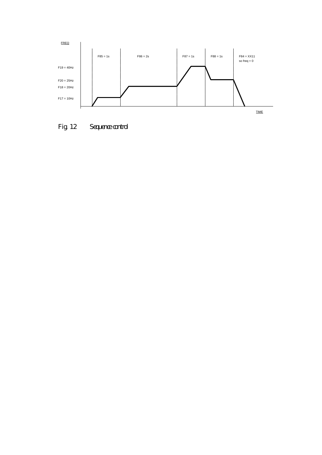

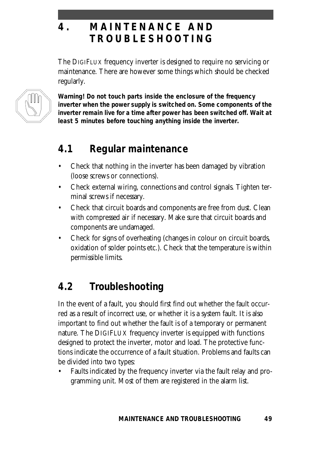## **4 . MAINTENANCE AND TROUBLESHOOTIN G**

The DIGIFLUX frequency inverter is designed to require no servicing or maintenance. There are however some things which should be checked regularly.



**Warning! Do not touch parts inside the enclosure of the frequency inverter when the power supply is switched on. Some components of the inverter remain live for a time after power has been switched off. Wait at least 5 minutes before touching anything inside the inverter.**

## **4.1 Regular maintenance**

- Check that nothing in the inverter has been damaged by vibration (loose screws or connections).
- Check external wiring, connections and control signals. Tighten terminal screws if necessary.
- Check that circuit boards and components are free from dust. Clean with compressed air if necessary. Make sure that circuit boards and components are undamaged.
- Check for signs of overheating (changes in colour on circuit boards, oxidation of solder points etc.). Check that the temperature is within permissible limits.

# **4.2 Troubleshooting**

In the event of a fault, you should first find out whether the fault occurred as a result of incorrect use, or whether it is a system fault. It is also important to find out whether the fault is of a temporary or permanent nature. The DIGIFLUX frequency inverter is equipped with functions designed to protect the inverter, motor and load. The protective functions indicate the occurrence of a fault situation. Problems and faults can be divided into two types:

• Faults indicated by the frequency inverter via the fault relay and programming unit. Most of them are registered in the alarm list.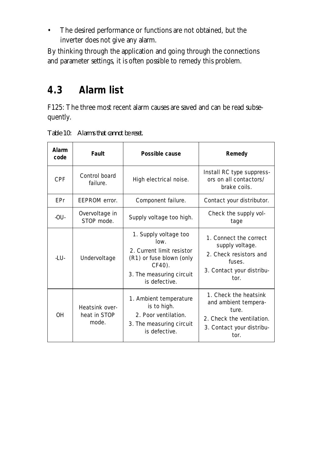• The desired performance or functions are not obtained, but the inverter does not give any alarm.

By thinking through the application and going through the connections and parameter settings, it is often possible to remedy this problem.

## **4.3 Alarm list**

F125: The three most recent alarm causes are saved and can be read subsequently.

| Alarm<br>code | Fault                                   | Possible cause                                                                                                                                | Remedy                                                                                                                   |
|---------------|-----------------------------------------|-----------------------------------------------------------------------------------------------------------------------------------------------|--------------------------------------------------------------------------------------------------------------------------|
| <b>CPF</b>    | Control board<br>failure.               | High electrical noise.                                                                                                                        | Install RC type suppress-<br>ors on all contactors/<br>brake coils.                                                      |
| <b>EPr</b>    | FFPROM error.                           | Component failure.                                                                                                                            | Contact your distributor.                                                                                                |
| $-OU-$        | Overvoltage in<br>STOP mode.            | Supply voltage too high.                                                                                                                      | Check the supply vol-<br>tage                                                                                            |
| $-LU-$        | Undervoltage                            | 1. Supply voltage too<br>low.<br>2. Current limit resistor<br>(R1) or fuse blown (only<br>CF40).<br>3. The measuring circuit<br>is defective. | 1. Connect the correct<br>supply voltage.<br>2. Check resistors and<br>fuses.<br>3. Contact your distribu-<br>tor.       |
| <b>OH</b>     | Heatsink over-<br>heat in STOP<br>mode. | 1. Ambient temperature<br>is to high.<br>2. Poor ventilation.<br>3. The measuring circuit<br>is defective.                                    | 1. Check the heatsink<br>and ambient tempera-<br>ture.<br>2. Check the ventilation.<br>3. Contact your distribu-<br>tor. |

*Table 10: Alarms that cannot be reset.*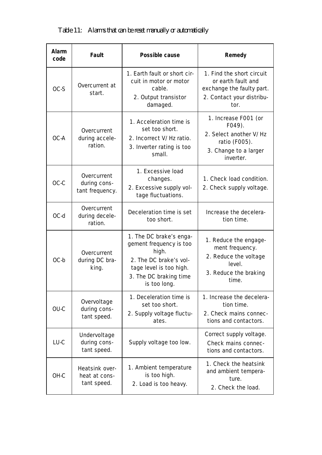| <b>Alarm</b><br>code | <b>Fault</b>                                   | Possible cause                                                                                                                                             | Remedy                                                                                                            |
|----------------------|------------------------------------------------|------------------------------------------------------------------------------------------------------------------------------------------------------------|-------------------------------------------------------------------------------------------------------------------|
| OC-S                 | Overcurrent at<br>start.                       | 1. Earth fault or short cir-<br>cuit in motor or motor<br>cable.<br>2. Output transistor<br>damaged.                                                       | 1. Find the short circuit<br>or earth fault and<br>exchange the faulty part.<br>2. Contact your distribu-<br>tor. |
| OC-A                 | Overcurrent<br>during accele-<br>ration.       | 1. Acceleration time is<br>set too short.<br>2. Incorrect V/Hz ratio.<br>3. Inverter rating is too<br>small.                                               | 1. Increase F001 (or<br>F049).<br>2. Select another V/Hz<br>ratio (F005).<br>3. Change to a larger<br>inverter.   |
| OC-C                 | Overcurrent<br>during cons-<br>tant frequency. | 1. Excessive load<br>changes.<br>2. Excessive supply vol-<br>tage fluctuations.                                                                            | 1. Check load condition.<br>2. Check supply voltage.                                                              |
| OC-d                 | Overcurrent<br>during decele-<br>ration.       | Deceleration time is set<br>too short.                                                                                                                     | Increase the decelera-<br>tion time.                                                                              |
| OC-b                 | Overcurrent<br>during DC bra-<br>king.         | 1. The DC brake's enga-<br>gement frequency is too<br>high.<br>2. The DC brake's vol-<br>tage level is too high.<br>3. The DC braking time<br>is too long. | 1. Reduce the engage-<br>ment frequency.<br>2. Reduce the voltage<br>level.<br>3. Reduce the braking<br>time.     |
| OU-C                 | Overvoltage<br>during cons-<br>tant speed.     | 1. Deceleration time is<br>set too short.<br>2. Supply voltage fluctu-<br>ates.                                                                            | 1. Increase the decelera-<br>tion time.<br>2. Check mains connec-<br>tions and contactors.                        |
| LU-C                 | Undervoltage<br>during cons-<br>tant speed.    | Supply voltage too low.                                                                                                                                    | Correct supply voltage.<br>Check mains connec-<br>tions and contactors.                                           |
| OH-C                 | Heatsink over-<br>heat at cons-<br>tant speed. | 1. Ambient temperature<br>is too high.<br>2. Load is too heavy.                                                                                            | 1. Check the heatsink<br>and ambient tempera-<br>ture.<br>2. Check the load.                                      |

#### *Table 11: Alarms that can be reset manually or automatically*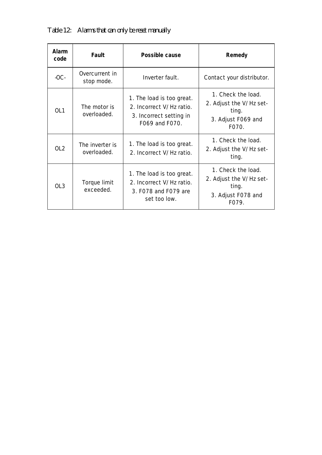| Alarm<br>code   | Fault                          | Possible cause                                                                                     | Remedy                                                                                |
|-----------------|--------------------------------|----------------------------------------------------------------------------------------------------|---------------------------------------------------------------------------------------|
| $-OC-$          | Overcurrent in<br>stop mode.   | Inverter fault.                                                                                    | Contact your distributor.                                                             |
| OL <sub>1</sub> | The motor is<br>overloaded.    | 1. The load is too great.<br>2. Incorrect V/Hz ratio.<br>3. Incorrect setting in<br>F069 and F070. | 1. Check the load.<br>2. Adjust the V/Hz set-<br>ting.<br>3. Adjust F069 and<br>F070. |
| OL2             | The inverter is<br>overloaded. | 1. The load is too great.<br>2. Incorrect V/Hz ratio.                                              | 1. Check the load.<br>2. Adjust the V/Hz set-<br>ting.                                |
| OL <sub>3</sub> | Torque limit<br>exceeded.      | 1. The load is too great.<br>2. Incorrect V/Hz ratio.<br>3. F078 and F079 are<br>set too low.      | 1. Check the load.<br>2. Adjust the V/Hz set-<br>ting.<br>3. Adjust F078 and<br>F079. |

*Table 12: Alarms that can only be reset manually*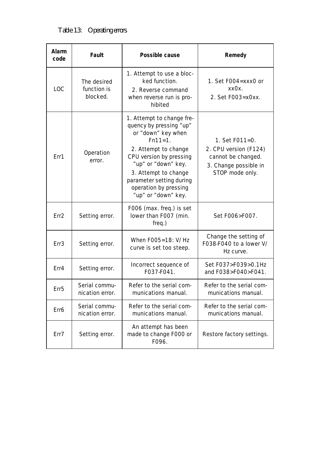*Table 13: Operating errors*

| Alarm<br>code    | <b>Fault</b>                           | Possible cause                                                                                                                                                                                                                                                        | Remedy                                                                                                    |
|------------------|----------------------------------------|-----------------------------------------------------------------------------------------------------------------------------------------------------------------------------------------------------------------------------------------------------------------------|-----------------------------------------------------------------------------------------------------------|
| <b>LOC</b>       | The desired<br>function is<br>blocked. | 1. Attempt to use a bloc-<br>ked function.<br>2. Reverse command<br>when reverse run is pro-<br>hibited                                                                                                                                                               | 1. Set F004=xxx0 or<br>xx0x.<br>2. Set F003=x0xx.                                                         |
| Err1             | Operation<br>error.                    | 1. Attempt to change fre-<br>quency by pressing "up"<br>or "down" key when<br>$Fn11=1.$<br>2. Attempt to change<br>CPU version by pressing<br>"up" or "down" key.<br>3. Attempt to change<br>parameter setting during<br>operation by pressing<br>"up" or "down" key. | 1. Set F011=0.<br>2. CPU version (F124)<br>cannot be changed.<br>3. Change possible in<br>STOP mode only. |
| Err <sub>2</sub> | Setting error.                         | F006 (max. freq.) is set<br>lower than F007 (min.<br>freq.)                                                                                                                                                                                                           | Set F006>F007.                                                                                            |
| Err <sub>3</sub> | Setting error.                         | When F005=18: V/Hz<br>curve is set too steep.                                                                                                                                                                                                                         | Change the setting of<br>F038-F040 to a lower V/<br>Hz curve.                                             |
| Err4             | Setting error.                         | Incorrect sequence of<br>F037-F041.                                                                                                                                                                                                                                   | Set F037>F039>0.1Hz<br>and F038>F040>F041.                                                                |
| Err <sub>5</sub> | Serial commu-<br>nication error.       | Refer to the serial com-<br>munications manual.                                                                                                                                                                                                                       | Refer to the serial com-<br>munications manual.                                                           |
| Err6             | Serial commu-<br>nication error.       | Refer to the serial com-<br>munications manual.                                                                                                                                                                                                                       | Refer to the serial com-<br>munications manual.                                                           |
| Err7             | Setting error.                         | An attempt has been<br>made to change F000 or<br>F096.                                                                                                                                                                                                                | Restore factory settings.                                                                                 |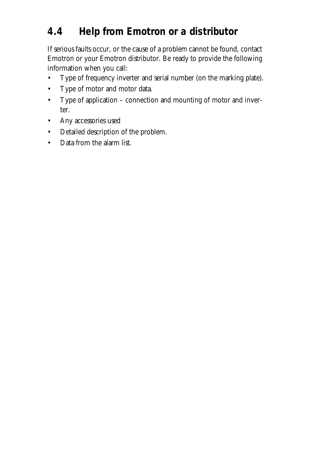# **4.4 Help from Emotron or a distributor**

If serious faults occur, or the cause of a problem cannot be found, contact Emotron or your Emotron distributor. Be ready to provide the following information when you call:

- Type of frequency inverter and serial number (on the marking plate).
- Type of motor and motor data.
- Type of application connection and mounting of motor and inverter.
- Any accessories used
- Detailed description of the problem.
- Data from the alarm list.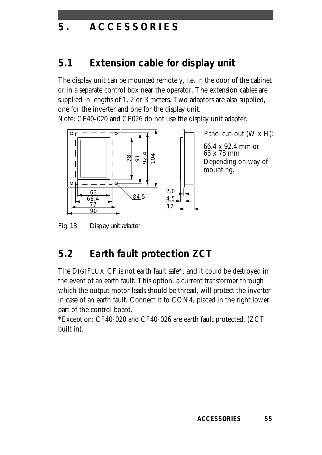## **5 . ACCESSORIE S**

### **5.1 Extension cable for display unit**

The display unit can be mounted remotely, i.e. in the door of the cabinet or in a separate control box near the operator. The extension cables are supplied in lengths of 1, 2 or 3 meters. Two adaptors are also supplied, one for the inverter and one for the display unit.

Note: CF40-020 and CF026 do not use the display unit adapter.



*Fig. 13 Display unit adapter*

### **5.2 Earth fault protection ZCT**

The DIGIFLUX CF is not earth fault safe\*, and it could be destroyed in the event of an earth fault. This option, a current transformer through which the output motor leads should be thread, will protect the inverter in case of an earth fault. Connect it to CON4, placed in the right lower part of the control board.

\*Exception: CF40-020 and CF40-026 are earth fault protected. (ZCT built in).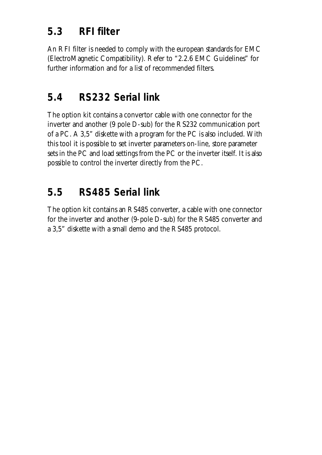## **5.3 RFI filter**

An RFI filter is needed to comply with the european standards for EMC (ElectroMagnetic Compatibility). Refer to "2.2.6 EMC Guidelines" for further information and for a list of recommended filters.

## **5.4 RS232 Serial link**

The option kit contains a convertor cable with one connector for the inverter and another (9 pole D-sub) for the RS232 communication port of a PC. A 3,5" diskette with a program for the PC is also included. With this tool it is possible to set inverter parameters on-line, store parameter sets in the PC and load settings from the PC or the inverter itself. It is also possible to control the inverter directly from the PC.

## **5.5 RS485 Serial link**

The option kit contains an RS485 converter, a cable with one connector for the inverter and another (9-pole D-sub) for the RS485 converter and a 3,5" diskette with a small demo and the RS485 protocol.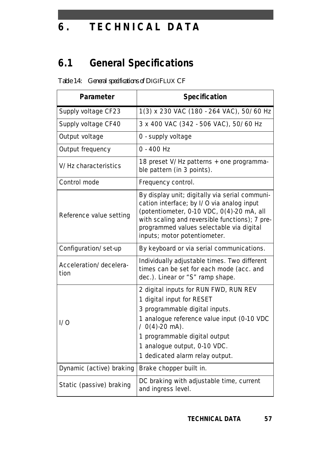# **6 . TECHNICAL DAT A**

# **6.1 General Specifications**

| Parameter                      | <b>Specification</b>                                                                                                                                                                                                                                                        |
|--------------------------------|-----------------------------------------------------------------------------------------------------------------------------------------------------------------------------------------------------------------------------------------------------------------------------|
| Supply voltage CF23            | 1(3) x 230 VAC (180 - 264 VAC), 50/60 Hz                                                                                                                                                                                                                                    |
| Supply voltage CF40            | 3 x 400 VAC (342 - 506 VAC), 50/60 Hz                                                                                                                                                                                                                                       |
| Output voltage                 | 0 - supply voltage                                                                                                                                                                                                                                                          |
| Output frequency               | $0 - 400$ Hz                                                                                                                                                                                                                                                                |
| V/Hz characteristics           | 18 preset V/Hz patterns + one programma-<br>ble pattern (in 3 points).                                                                                                                                                                                                      |
| Control mode                   | Frequency control.                                                                                                                                                                                                                                                          |
| Reference value setting        | By display unit; digitally via serial communi-<br>cation interface; by I/O via analog input<br>(potentiometer, 0-10 VDC, 0(4)-20 mA, all<br>with scaling and reversible functions); 7 pre-<br>programmed values selectable via digital<br>inputs; motor potentiometer.      |
| Configuration/set-up           | By keyboard or via serial communications.                                                                                                                                                                                                                                   |
| Acceleration/decelera-<br>tion | Individually adjustable times. Two different<br>times can be set for each mode (acc. and<br>dec.). Linear or "S" ramp shape.                                                                                                                                                |
| 1/0                            | 2 digital inputs for RUN FWD, RUN REV<br>1 digital input for RESET<br>3 programmable digital inputs.<br>1 analogue reference value input (0-10 VDC<br>$/ 0(4)$ -20 mA).<br>1 programmable digital output<br>1 analogue output, 0-10 VDC.<br>1 dedicated alarm relay output. |
| Dynamic (active) braking       | Brake chopper built in.                                                                                                                                                                                                                                                     |
| Static (passive) braking       | DC braking with adjustable time, current<br>and ingress level.                                                                                                                                                                                                              |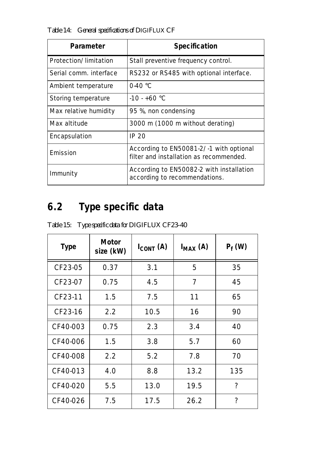*Table 14: General specifications of DIGIFLUX CF*

| Parameter              | <b>Specification</b>                                                               |
|------------------------|------------------------------------------------------------------------------------|
| Protection/limitation  | Stall preventive frequency control.                                                |
| Serial comm. interface | RS232 or RS485 with optional interface.                                            |
| Ambient temperature    | $0.40 \degree C$                                                                   |
| Storing temperature    | $-10 - +60$ °C                                                                     |
| Max relative humidity  | 95 %, non condensing                                                               |
| Max altitude           | 3000 m (1000 m without derating)                                                   |
| Encapsulation          | <b>IP 20</b>                                                                       |
| Emission               | According to EN50081-2/-1 with optional<br>filter and installation as recommended. |
| Immunity               | According to EN50082-2 with installation<br>according to recommendations.          |

# **6.2 Type specific data**

| <b>Type</b> | Motor<br>size (kW) | $I_{CONT}$ (A) | $I_{MAX}$ (A) | $P_f(W)$ |
|-------------|--------------------|----------------|---------------|----------|
| CF23-05     | 0.37               | 3.1            | 5             | 35       |
| CF23-07     | 0.75               | 4.5            | 7             | 45       |
| CF23-11     | 1.5                | 7.5            | 11            | 65       |
| CF23-16     | 2.2                | 10.5           | 16            | 90       |
| CF40-003    | 0.75               | 2.3            | 3.4           | 40       |
| CF40-006    | 1.5                | 3.8            | 5.7           | 60       |
| CF40-008    | 2.2                | 5.2            | 7.8           | 70       |
| CF40-013    | 4.0                | 8.8            | 13.2          | 135      |
| CF40-020    | 5.5                | 13.0           | 19.5          | ?        |
| CF40-026    | 7.5                | 17.5           | 26.2          | ?        |

*Table 15: Type specific data for DIGIFLUX CF23-40*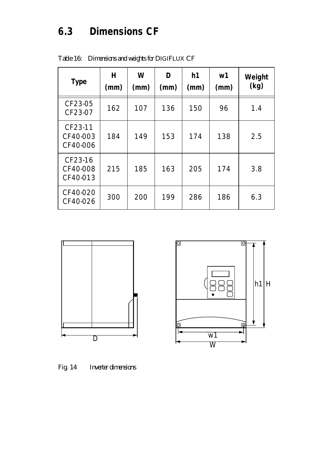# **6.3 Dimensions CF**

| <b>Type</b>                     | H<br>(mm) | W<br>(mm) | D<br>(mm) | h1<br>(mm) | w <sub>1</sub><br>(mm) | Weight<br>(kg) |
|---------------------------------|-----------|-----------|-----------|------------|------------------------|----------------|
| CF23-05<br>CF23-07              | 162       | 107       | 136       | 150        | 96                     | 1.4            |
| CF23-11<br>CF40-003<br>CF40-006 | 184       | 149       | 153       | 174        | 138                    | 2.5            |
| CF23-16<br>CF40-008<br>CF40-013 | 215       | 185       | 163       | 205        | 174                    | 3.8            |
| CF40-020<br>CF40-026            | 300       | 200       | 199       | 286        | 186                    | 6.3            |

*Table 16: Dimensions and weights for DIGIFLUX CF*





*Fig. 14 Inverter dimensions*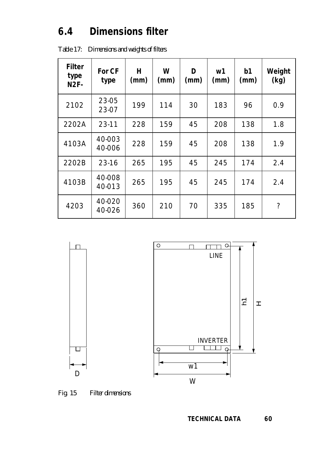## **6.4 Dimensions filter**

| <b>Filter</b><br>type<br><b>N2F-</b> | <b>For CF</b><br>type | н<br>(mm) | W<br>(mm) | D<br>(mm) | w1<br>(mm) | b1<br>(mm) | Weight<br>(kg) |
|--------------------------------------|-----------------------|-----------|-----------|-----------|------------|------------|----------------|
| 2102                                 | 23-05<br>23-07        | 199       | 114       | 30        | 183        | 96         | 0.9            |
| 2202A                                | 23-11                 | 228       | 159       | 45        | 208        | 138        | 1.8            |
| 4103A                                | 40-003<br>40-006      | 228       | 159       | 45        | 208        | 138        | 1.9            |
| 2202B                                | 23-16                 | 265       | 195       | 45        | 245        | 174        | 2.4            |
| 4103B                                | 40-008<br>40-013      | 265       | 195       | 45        | 245        | 174        | 2.4            |
| 4203                                 | 40-020<br>40-026      | 360       | 210       | 70        | 335        | 185        | ?              |

*Table 17: Dimensions and weights of filters*



*Fig. 15 Filter dimensions*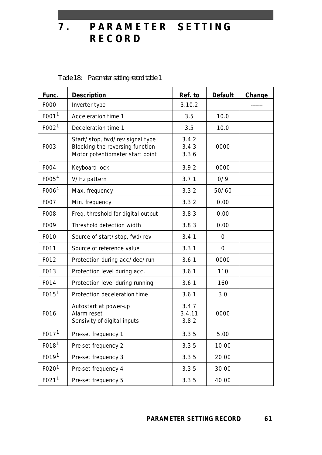**7 . PARAMETER SETTING RECOR D**

| Func.             | <b>Description</b>                                                                                    | Ref. to                  | <b>Default</b> | Change |
|-------------------|-------------------------------------------------------------------------------------------------------|--------------------------|----------------|--------|
| F000              | Inverter type                                                                                         | 3.10.2                   |                |        |
| F001 <sup>1</sup> | Acceleration time 1                                                                                   | 3.5                      | 10.0           |        |
| F002 <sup>1</sup> | Deceleration time 1                                                                                   | 3.5                      | 10.0           |        |
| F003              | Start/stop, fwd/rev signal type<br>Blocking the reversing function<br>Motor potentiometer start point | 3.4.2<br>3.4.3<br>3.3.6  | 0000           |        |
| F004              | Keyboard lock                                                                                         | 3.9.2                    | 0000           |        |
| F005 <sup>4</sup> | V/Hz pattern                                                                                          | 3.7.1                    | 0/9            |        |
| F006 <sup>4</sup> | Max. frequency                                                                                        | 3.3.2                    | 50/60          |        |
| F007              | Min. frequency                                                                                        | 3.3.2                    | 0.00           |        |
| F008              | Freq. threshold for digital output                                                                    | 3.8.3                    | 0.00           |        |
| F009              | Threshold detection width                                                                             | 3.8.3                    | 0.00           |        |
| F010              | Source of start/stop, fwd/rev                                                                         | 3.4.1                    | $\Omega$       |        |
| F011              | Source of reference value                                                                             | 3.3.1                    | $\mathbf 0$    |        |
| F012              | Protection during acc/dec/run                                                                         | 3.6.1                    | 0000           |        |
| F013              | Protection level during acc.                                                                          | 3.6.1                    | 110            |        |
| F014              | Protection level during running                                                                       | 3.6.1                    | 160            |        |
| F015 <sup>1</sup> | Protection deceleration time                                                                          | 3.6.1                    | 3.0            |        |
| F016              | Autostart at power-up<br>Alarm reset<br>Sensivity of digital inputs                                   | 3.4.7<br>3.4.11<br>3.8.2 | 0000           |        |
| F017 <sup>1</sup> | Pre-set frequency 1                                                                                   | 3.3.5                    | 5.00           |        |
| F018 <sup>1</sup> | Pre-set frequency 2                                                                                   | 3.3.5                    | 10.00          |        |
| F019 <sup>1</sup> | Pre-set frequency 3                                                                                   | 3.3.5                    | 20.00          |        |
| F020 <sup>1</sup> | Pre-set frequency 4                                                                                   | 3.3.5                    | 30.00          |        |
| FO21 <sup>1</sup> | Pre-set frequency 5                                                                                   | 3.3.5                    | 40.00          |        |

*Table 18: Parameter setting record table 1*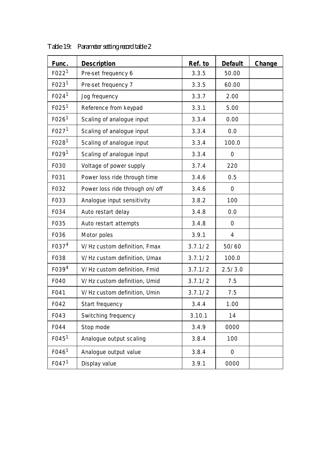| Func.             | <b>Description</b>             | Ref. to | <b>Default</b> | Change |
|-------------------|--------------------------------|---------|----------------|--------|
| F022 <sup>1</sup> | Pre-set frequency 6            | 3.3.5   | 50.00          |        |
| FO23 <sup>1</sup> | Pre-set frequency 7            | 3.3.5   | 60.00          |        |
| F024 <sup>1</sup> | Jog frequency                  | 3.3.7   | 2.00           |        |
| FO25 <sup>1</sup> | Reference from keypad          | 3.3.1   | 5.00           |        |
| F026 <sup>1</sup> | Scaling of analogue input      | 3.3.4   | 0.00           |        |
| F027 <sup>1</sup> | Scaling of analogue input      | 3.3.4   | 0.0            |        |
| FO28 <sup>1</sup> | Scaling of analogue input      | 3.3.4   | 100.0          |        |
| F029 <sup>1</sup> | Scaling of analogue input      | 3.3.4   | $\mathbf 0$    |        |
| F030              | Voltage of power supply        | 3.7.4   | 220            |        |
| F031              | Power loss ride through time   | 3.4.6   | 0.5            |        |
| F032              | Power loss ride through on/off | 3.4.6   | $\mathbf 0$    |        |
| F033              | Analogue input sensitivity     | 3.8.2   | 100            |        |
| F034              | Auto restart delay             | 3.4.8   | 0.0            |        |
| F035              | Auto restart attempts          | 3.4.8   | $\overline{O}$ |        |
| F036              | Motor poles                    | 3.9.1   | 4              |        |
| F037 <sup>4</sup> | V/Hz custom definition, Fmax   | 3.7.1/2 | 50/60          |        |
| F038              | V/Hz custom definition, Umax   | 3.7.1/2 | 100.0          |        |
| F039 <sup>4</sup> | V/Hz custom definition, Fmid   | 3.7.1/2 | 2.5/3.0        |        |
| F040              | V/Hz custom definition, Umid   | 3.7.1/2 | 7.5            |        |
| F041              | V/Hz custom definition, Umin   | 3.7.1/2 | 7.5            |        |
| F042              | Start frequency                | 3.4.4   | 1.00           |        |
| F043              | Switching frequency            | 3.10.1  | 14             |        |
| F044              | Stop mode                      | 3.4.9   | 0000           |        |
| FO45 <sup>1</sup> | Analogue output scaling        | 3.8.4   | 100            |        |
| F046 <sup>1</sup> | Analogue output value          | 3.8.4   | $\mathbf 0$    |        |
| FO47 <sup>1</sup> | Display value                  | 3.9.1   | 0000           |        |

*Table 19: Parameter setting record table 2*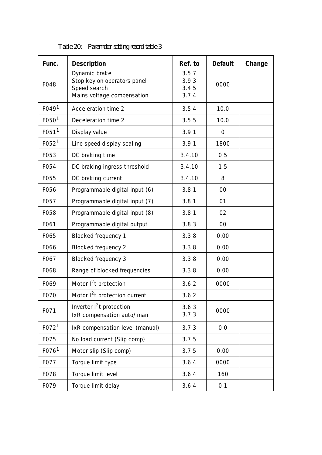| Func.             | <b>Description</b>                                                                         | Ref. to                          | <b>Default</b> | Change |
|-------------------|--------------------------------------------------------------------------------------------|----------------------------------|----------------|--------|
| F048              | Dynamic brake<br>Stop key on operators panel<br>Speed search<br>Mains voltage compensation | 3.5.7<br>3.9.3<br>3.4.5<br>3.7.4 | 0000           |        |
| F049 <sup>1</sup> | Acceleration time 2                                                                        | 3.5.4                            | 10.0           |        |
| F050 <sup>1</sup> | Deceleration time 2                                                                        | 3.5.5                            | 10.0           |        |
| F051 <sup>1</sup> | Display value                                                                              | 3.9.1                            | $\mathbf 0$    |        |
| F052 <sup>1</sup> | Line speed display scaling                                                                 | 3.9.1                            | 1800           |        |
| F053              | DC braking time                                                                            | 3.4.10                           | 0.5            |        |
| F054              | DC braking ingress threshold                                                               | 3.4.10                           | 1.5            |        |
| F055              | DC braking current                                                                         | 3.4.10                           | 8              |        |
| F056              | Programmable digital input (6)                                                             | 3.8.1                            | 00             |        |
| F057              | Programmable digital input (7)                                                             | 3.8.1                            | 01             |        |
| F058              | Programmable digital input (8)                                                             | 3.8.1                            | 02             |        |
| F061              | Programmable digital output                                                                | 3.8.3                            | $00\,$         |        |
| F065              | <b>Blocked frequency 1</b>                                                                 | 3.3.8                            | 0.00           |        |
| F066              | <b>Blocked frequency 2</b>                                                                 | 3.3.8                            | 0.00           |        |
| F067              | <b>Blocked frequency 3</b>                                                                 | 3.3.8                            | 0.00           |        |
| F068              | Range of blocked frequencies                                                               | 3.3.8                            | 0.00           |        |
| F069              | Motor $1^2$ t protection                                                                   | 3.6.2                            | 0000           |        |
| F070              | Motor I <sup>2</sup> t protection current                                                  | 3.6.2                            |                |        |
| F071              | Inverter $1^2$ t protection<br>IxR compensation auto/man                                   | 3.6.3<br>3.7.3                   | 0000           |        |
| F072 <sup>1</sup> | IxR compensation level (manual)                                                            | 3.7.3                            | 0.0            |        |
| F075              | No load current (Slip comp)                                                                | 3.7.5                            |                |        |
| F076 <sup>1</sup> | Motor slip (Slip comp)                                                                     | 3.7.5                            | 0.00           |        |
| F077              | Torque limit type                                                                          | 3.6.4                            | 0000           |        |
| F078              | Torque limit level                                                                         | 3.6.4                            | 160            |        |
| F079              | Torque limit delay                                                                         | 3.6.4                            | 0.1            |        |

*Table 20: Parameter setting record table 3*